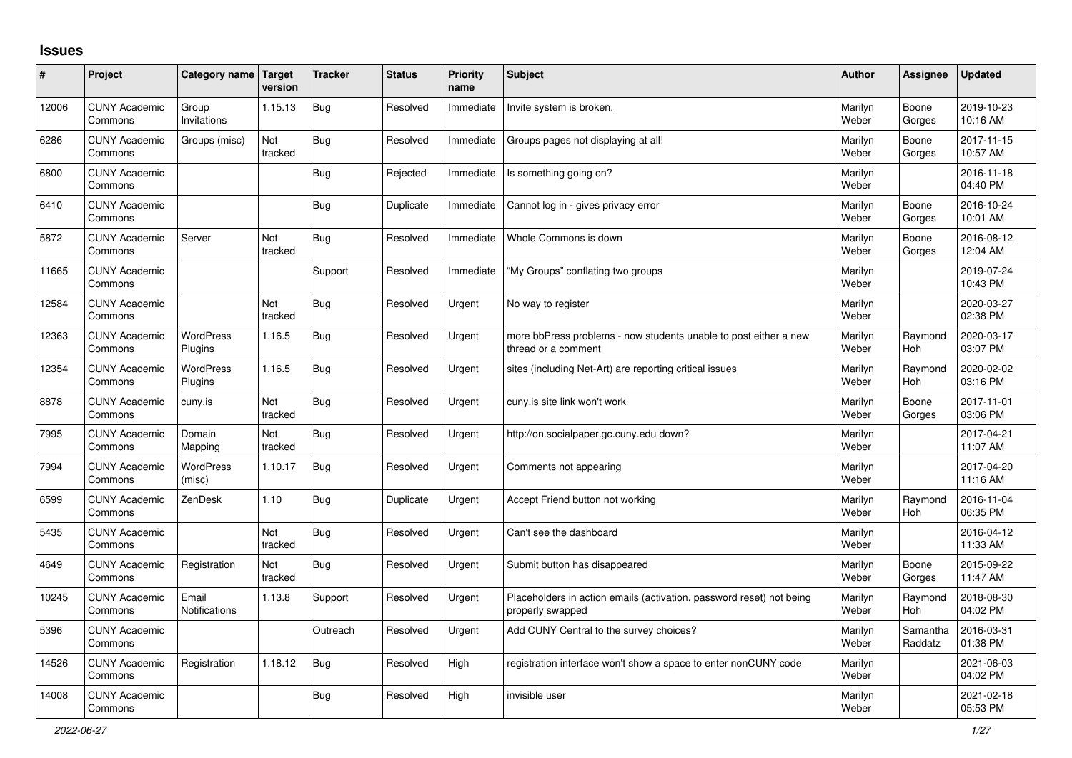## **Issues**

| ∦     | Project                         | Category name Target          | version               | <b>Tracker</b> | <b>Status</b> | <b>Priority</b><br>name | <b>Subject</b>                                                                           | Author           | Assignee              | <b>Updated</b>         |
|-------|---------------------------------|-------------------------------|-----------------------|----------------|---------------|-------------------------|------------------------------------------------------------------------------------------|------------------|-----------------------|------------------------|
| 12006 | <b>CUNY Academic</b><br>Commons | Group<br>Invitations          | 1.15.13               | <b>Bug</b>     | Resolved      | Immediate               | Invite system is broken.                                                                 | Marilyn<br>Weber | Boone<br>Gorges       | 2019-10-23<br>10:16 AM |
| 6286  | <b>CUNY Academic</b><br>Commons | Groups (misc)                 | Not<br>tracked        | <b>Bug</b>     | Resolved      | Immediate               | Groups pages not displaying at all!                                                      | Marilyn<br>Weber | Boone<br>Gorges       | 2017-11-15<br>10:57 AM |
| 6800  | <b>CUNY Academic</b><br>Commons |                               |                       | Bug            | Rejected      | Immediate               | Is something going on?                                                                   | Marilyn<br>Weber |                       | 2016-11-18<br>04:40 PM |
| 6410  | <b>CUNY Academic</b><br>Commons |                               |                       | <b>Bug</b>     | Duplicate     | Immediate               | Cannot log in - gives privacy error                                                      | Marilyn<br>Weber | Boone<br>Gorges       | 2016-10-24<br>10:01 AM |
| 5872  | <b>CUNY Academic</b><br>Commons | Server                        | <b>Not</b><br>tracked | Bug            | Resolved      | Immediate               | Whole Commons is down                                                                    | Marilyn<br>Weber | Boone<br>Gorges       | 2016-08-12<br>12:04 AM |
| 11665 | <b>CUNY Academic</b><br>Commons |                               |                       | Support        | Resolved      | Immediate               | "My Groups" conflating two groups                                                        | Marilyn<br>Weber |                       | 2019-07-24<br>10:43 PM |
| 12584 | <b>CUNY Academic</b><br>Commons |                               | Not<br>tracked        | <b>Bug</b>     | Resolved      | Urgent                  | No way to register                                                                       | Marilyn<br>Weber |                       | 2020-03-27<br>02:38 PM |
| 12363 | <b>CUNY Academic</b><br>Commons | <b>WordPress</b><br>Plugins   | 1.16.5                | <b>Bug</b>     | Resolved      | Urgent                  | more bbPress problems - now students unable to post either a new<br>thread or a comment  | Marilyn<br>Weber | Raymond<br><b>Hoh</b> | 2020-03-17<br>03:07 PM |
| 12354 | <b>CUNY Academic</b><br>Commons | <b>WordPress</b><br>Plugins   | 1.16.5                | Bug            | Resolved      | Urgent                  | sites (including Net-Art) are reporting critical issues                                  | Marilyn<br>Weber | Raymond<br>Hoh        | 2020-02-02<br>03:16 PM |
| 8878  | <b>CUNY Academic</b><br>Commons | cuny.is                       | Not<br>tracked        | <b>Bug</b>     | Resolved      | Urgent                  | cuny.is site link won't work                                                             | Marilyn<br>Weber | Boone<br>Gorges       | 2017-11-01<br>03:06 PM |
| 7995  | <b>CUNY Academic</b><br>Commons | Domain<br>Mapping             | Not<br>tracked        | <b>Bug</b>     | Resolved      | Urgent                  | http://on.socialpaper.gc.cuny.edu down?                                                  | Marilyn<br>Weber |                       | 2017-04-21<br>11:07 AM |
| 7994  | <b>CUNY Academic</b><br>Commons | <b>WordPress</b><br>(misc)    | 1.10.17               | <b>Bug</b>     | Resolved      | Urgent                  | Comments not appearing                                                                   | Marilyn<br>Weber |                       | 2017-04-20<br>11:16 AM |
| 6599  | <b>CUNY Academic</b><br>Commons | ZenDesk                       | 1.10                  | Bug            | Duplicate     | Urgent                  | Accept Friend button not working                                                         | Marilyn<br>Weber | Raymond<br><b>Hoh</b> | 2016-11-04<br>06:35 PM |
| 5435  | <b>CUNY Academic</b><br>Commons |                               | Not<br>tracked        | Bug            | Resolved      | Urgent                  | Can't see the dashboard                                                                  | Marilyn<br>Weber |                       | 2016-04-12<br>11:33 AM |
| 4649  | <b>CUNY Academic</b><br>Commons | Registration                  | Not<br>tracked        | <b>Bug</b>     | Resolved      | Urgent                  | Submit button has disappeared                                                            | Marilyn<br>Weber | Boone<br>Gorges       | 2015-09-22<br>11:47 AM |
| 10245 | <b>CUNY Academic</b><br>Commons | Email<br><b>Notifications</b> | 1.13.8                | Support        | Resolved      | Urgent                  | Placeholders in action emails (activation, password reset) not being<br>properly swapped | Marilyn<br>Weber | Raymond<br><b>Hoh</b> | 2018-08-30<br>04:02 PM |
| 5396  | <b>CUNY Academic</b><br>Commons |                               |                       | Outreach       | Resolved      | Urgent                  | Add CUNY Central to the survey choices?                                                  | Marilyn<br>Weber | Samantha<br>Raddatz   | 2016-03-31<br>01:38 PM |
| 14526 | <b>CUNY Academic</b><br>Commons | Registration                  | 1.18.12               | <b>Bug</b>     | Resolved      | High                    | registration interface won't show a space to enter nonCUNY code                          | Marilyn<br>Weber |                       | 2021-06-03<br>04:02 PM |
| 14008 | <b>CUNY Academic</b><br>Commons |                               |                       | Bug            | Resolved      | High                    | invisible user                                                                           | Marilyn<br>Weber |                       | 2021-02-18<br>05:53 PM |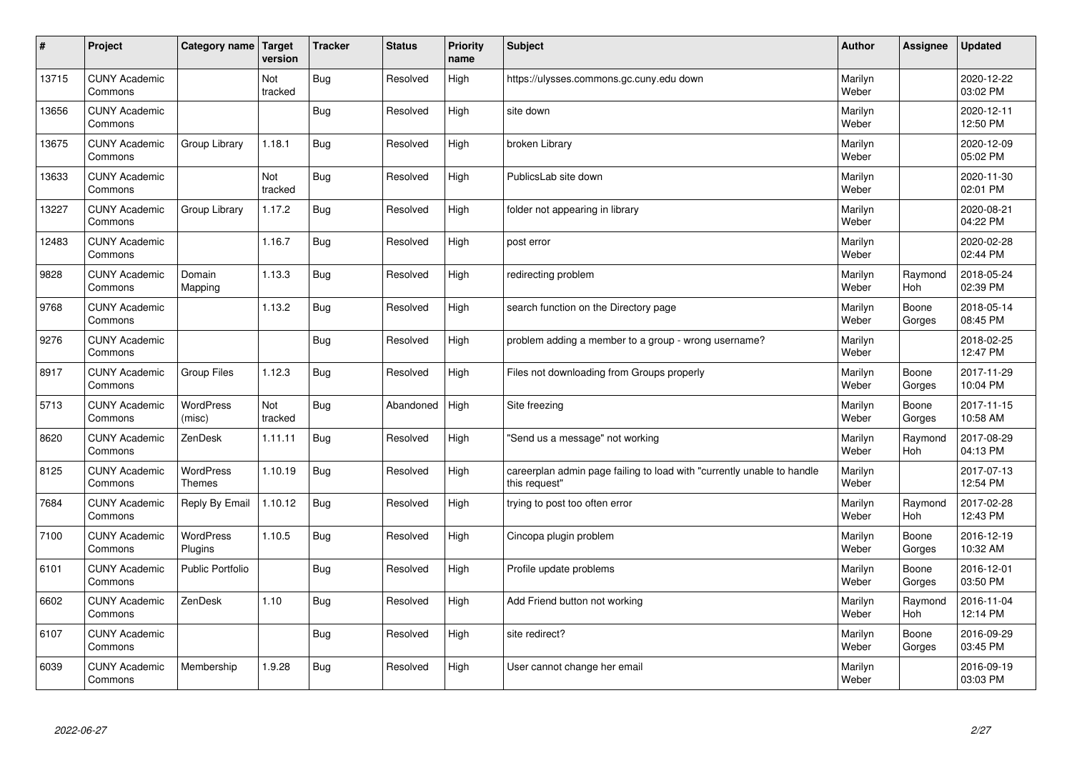| $\sharp$ | Project                         | Category name   Target            | version        | <b>Tracker</b> | <b>Status</b> | <b>Priority</b><br>name | <b>Subject</b>                                                                          | <b>Author</b>    | Assignee              | <b>Updated</b>         |
|----------|---------------------------------|-----------------------------------|----------------|----------------|---------------|-------------------------|-----------------------------------------------------------------------------------------|------------------|-----------------------|------------------------|
| 13715    | <b>CUNY Academic</b><br>Commons |                                   | Not<br>tracked | Bug            | Resolved      | High                    | https://ulysses.commons.gc.cuny.edu down                                                | Marilyn<br>Weber |                       | 2020-12-22<br>03:02 PM |
| 13656    | <b>CUNY Academic</b><br>Commons |                                   |                | Bug            | Resolved      | High                    | site down                                                                               | Marilyn<br>Weber |                       | 2020-12-11<br>12:50 PM |
| 13675    | <b>CUNY Academic</b><br>Commons | Group Library                     | 1.18.1         | <b>Bug</b>     | Resolved      | High                    | broken Library                                                                          | Marilyn<br>Weber |                       | 2020-12-09<br>05:02 PM |
| 13633    | <b>CUNY Academic</b><br>Commons |                                   | Not<br>tracked | <b>Bug</b>     | Resolved      | High                    | PublicsLab site down                                                                    | Marilyn<br>Weber |                       | 2020-11-30<br>02:01 PM |
| 13227    | <b>CUNY Academic</b><br>Commons | Group Library                     | 1.17.2         | Bug            | Resolved      | High                    | folder not appearing in library                                                         | Marilyn<br>Weber |                       | 2020-08-21<br>04:22 PM |
| 12483    | <b>CUNY Academic</b><br>Commons |                                   | 1.16.7         | <b>Bug</b>     | Resolved      | High                    | post error                                                                              | Marilyn<br>Weber |                       | 2020-02-28<br>02:44 PM |
| 9828     | <b>CUNY Academic</b><br>Commons | Domain<br>Mapping                 | 1.13.3         | Bug            | Resolved      | High                    | redirecting problem                                                                     | Marilyn<br>Weber | Raymond<br>Hoh        | 2018-05-24<br>02:39 PM |
| 9768     | <b>CUNY Academic</b><br>Commons |                                   | 1.13.2         | Bug            | Resolved      | High                    | search function on the Directory page                                                   | Marilyn<br>Weber | Boone<br>Gorges       | 2018-05-14<br>08:45 PM |
| 9276     | <b>CUNY Academic</b><br>Commons |                                   |                | Bug            | Resolved      | High                    | problem adding a member to a group - wrong username?                                    | Marilyn<br>Weber |                       | 2018-02-25<br>12:47 PM |
| 8917     | <b>CUNY Academic</b><br>Commons | Group Files                       | 1.12.3         | Bug            | Resolved      | High                    | Files not downloading from Groups properly                                              | Marilyn<br>Weber | Boone<br>Gorges       | 2017-11-29<br>10:04 PM |
| 5713     | <b>CUNY Academic</b><br>Commons | <b>WordPress</b><br>(misc)        | Not<br>tracked | Bug            | Abandoned     | High                    | Site freezing                                                                           | Marilyn<br>Weber | Boone<br>Gorges       | 2017-11-15<br>10:58 AM |
| 8620     | <b>CUNY Academic</b><br>Commons | ZenDesk                           | 1.11.11        | Bug            | Resolved      | High                    | 'Send us a message" not working                                                         | Marilyn<br>Weber | Raymond<br><b>Hoh</b> | 2017-08-29<br>04:13 PM |
| 8125     | <b>CUNY Academic</b><br>Commons | <b>WordPress</b><br><b>Themes</b> | 1.10.19        | Bug            | Resolved      | High                    | careerplan admin page failing to load with "currently unable to handle<br>this request" | Marilyn<br>Weber |                       | 2017-07-13<br>12:54 PM |
| 7684     | <b>CUNY Academic</b><br>Commons | Reply By Email                    | 1.10.12        | Bug            | Resolved      | High                    | trying to post too often error                                                          | Marilyn<br>Weber | Raymond<br><b>Hoh</b> | 2017-02-28<br>12:43 PM |
| 7100     | <b>CUNY Academic</b><br>Commons | WordPress<br>Plugins              | 1.10.5         | <b>Bug</b>     | Resolved      | High                    | Cincopa plugin problem                                                                  | Marilyn<br>Weber | Boone<br>Gorges       | 2016-12-19<br>10:32 AM |
| 6101     | <b>CUNY Academic</b><br>Commons | <b>Public Portfolio</b>           |                | Bug            | Resolved      | High                    | Profile update problems                                                                 | Marilyn<br>Weber | Boone<br>Gorges       | 2016-12-01<br>03:50 PM |
| 6602     | <b>CUNY Academic</b><br>Commons | ZenDesk                           | 1.10           | Bug            | Resolved      | High                    | Add Friend button not working                                                           | Marilyn<br>Weber | Raymond<br><b>Hoh</b> | 2016-11-04<br>12:14 PM |
| 6107     | <b>CUNY Academic</b><br>Commons |                                   |                | Bug            | Resolved      | High                    | site redirect?                                                                          | Marilyn<br>Weber | Boone<br>Gorges       | 2016-09-29<br>03:45 PM |
| 6039     | <b>CUNY Academic</b><br>Commons | Membership                        | 1.9.28         | Bug            | Resolved      | High                    | User cannot change her email                                                            | Marilyn<br>Weber |                       | 2016-09-19<br>03:03 PM |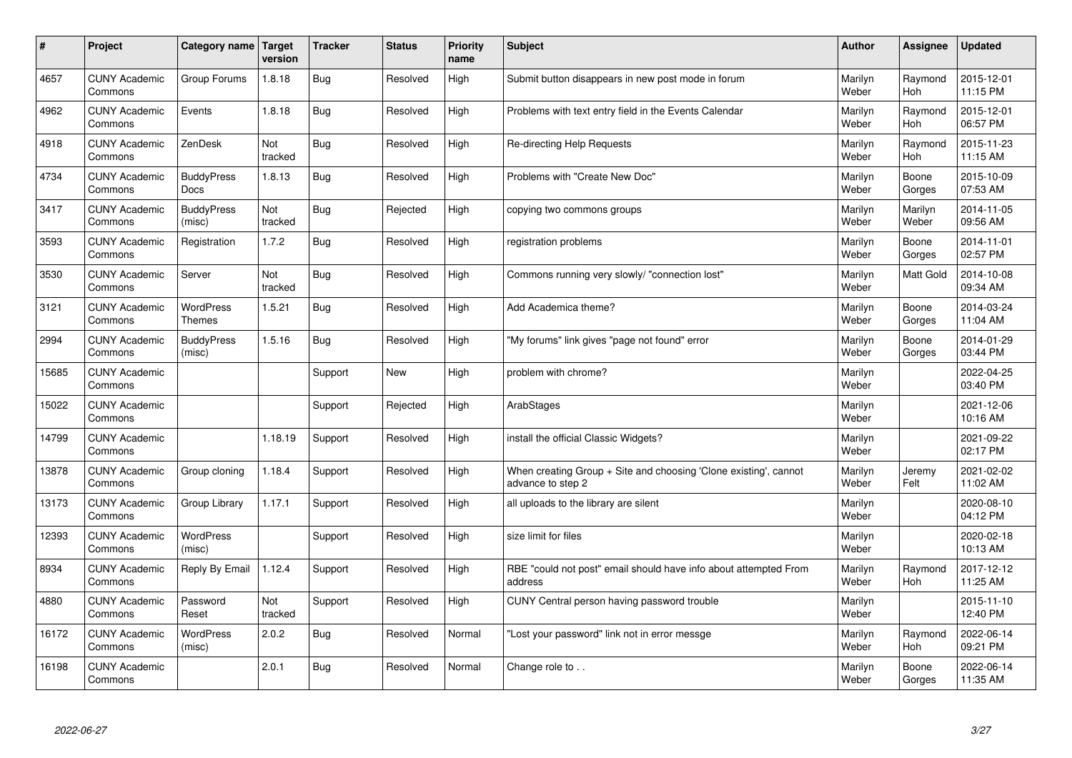| $\sharp$ | Project                         | Category name   Target           | version        | <b>Tracker</b> | <b>Status</b> | <b>Priority</b><br>name | <b>Subject</b>                                                                        | <b>Author</b>    | Assignee              | Updated                |
|----------|---------------------------------|----------------------------------|----------------|----------------|---------------|-------------------------|---------------------------------------------------------------------------------------|------------------|-----------------------|------------------------|
| 4657     | <b>CUNY Academic</b><br>Commons | Group Forums                     | 1.8.18         | Bug            | Resolved      | High                    | Submit button disappears in new post mode in forum                                    | Marilyn<br>Weber | Raymond<br><b>Hoh</b> | 2015-12-01<br>11:15 PM |
| 4962     | <b>CUNY Academic</b><br>Commons | Events                           | 1.8.18         | Bug            | Resolved      | High                    | Problems with text entry field in the Events Calendar                                 | Marilyn<br>Weber | Raymond<br><b>Hoh</b> | 2015-12-01<br>06:57 PM |
| 4918     | <b>CUNY Academic</b><br>Commons | ZenDesk                          | Not<br>tracked | Bug            | Resolved      | High                    | Re-directing Help Requests                                                            | Marilyn<br>Weber | Raymond<br><b>Hoh</b> | 2015-11-23<br>11:15 AM |
| 4734     | <b>CUNY Academic</b><br>Commons | <b>BuddyPress</b><br><b>Docs</b> | 1.8.13         | Bug            | Resolved      | High                    | Problems with "Create New Doc"                                                        | Marilyn<br>Weber | Boone<br>Gorges       | 2015-10-09<br>07:53 AM |
| 3417     | <b>CUNY Academic</b><br>Commons | <b>BuddyPress</b><br>(misc)      | Not<br>tracked | Bug            | Rejected      | High                    | copying two commons groups                                                            | Marilyn<br>Weber | Marilyn<br>Weber      | 2014-11-05<br>09:56 AM |
| 3593     | <b>CUNY Academic</b><br>Commons | Registration                     | 1.7.2          | Bug            | Resolved      | High                    | registration problems                                                                 | Marilyn<br>Weber | Boone<br>Gorges       | 2014-11-01<br>02:57 PM |
| 3530     | <b>CUNY Academic</b><br>Commons | Server                           | Not<br>tracked | Bug            | Resolved      | High                    | Commons running very slowly/ "connection lost"                                        | Marilyn<br>Weber | Matt Gold             | 2014-10-08<br>09:34 AM |
| 3121     | <b>CUNY Academic</b><br>Commons | WordPress<br><b>Themes</b>       | 1.5.21         | Bug            | Resolved      | High                    | Add Academica theme?                                                                  | Marilyn<br>Weber | Boone<br>Gorges       | 2014-03-24<br>11:04 AM |
| 2994     | <b>CUNY Academic</b><br>Commons | <b>BuddyPress</b><br>(misc)      | 1.5.16         | Bug            | Resolved      | High                    | "My forums" link gives "page not found" error                                         | Marilyn<br>Weber | Boone<br>Gorges       | 2014-01-29<br>03:44 PM |
| 15685    | <b>CUNY Academic</b><br>Commons |                                  |                | Support        | New           | High                    | problem with chrome?                                                                  | Marilyn<br>Weber |                       | 2022-04-25<br>03:40 PM |
| 15022    | <b>CUNY Academic</b><br>Commons |                                  |                | Support        | Rejected      | High                    | ArabStages                                                                            | Marilyn<br>Weber |                       | 2021-12-06<br>10:16 AM |
| 14799    | <b>CUNY Academic</b><br>Commons |                                  | 1.18.19        | Support        | Resolved      | High                    | install the official Classic Widgets?                                                 | Marilyn<br>Weber |                       | 2021-09-22<br>02:17 PM |
| 13878    | <b>CUNY Academic</b><br>Commons | Group cloning                    | 1.18.4         | Support        | Resolved      | High                    | When creating Group + Site and choosing 'Clone existing', cannot<br>advance to step 2 | Marilyn<br>Weber | Jeremy<br>Felt        | 2021-02-02<br>11:02 AM |
| 13173    | <b>CUNY Academic</b><br>Commons | Group Library                    | 1.17.1         | Support        | Resolved      | High                    | all uploads to the library are silent                                                 | Marilyn<br>Weber |                       | 2020-08-10<br>04:12 PM |
| 12393    | <b>CUNY Academic</b><br>Commons | <b>WordPress</b><br>(misc)       |                | Support        | Resolved      | High                    | size limit for files                                                                  | Marilyn<br>Weber |                       | 2020-02-18<br>10:13 AM |
| 8934     | <b>CUNY Academic</b><br>Commons | Reply By Email                   | 1.12.4         | Support        | Resolved      | High                    | RBE "could not post" email should have info about attempted From<br>address           | Marilyn<br>Weber | Raymond<br><b>Hoh</b> | 2017-12-12<br>11:25 AM |
| 4880     | <b>CUNY Academic</b><br>Commons | Password<br>Reset                | Not<br>tracked | Support        | Resolved      | High                    | CUNY Central person having password trouble                                           | Marilyn<br>Weber |                       | 2015-11-10<br>12:40 PM |
| 16172    | <b>CUNY Academic</b><br>Commons | <b>WordPress</b><br>(misc)       | 2.0.2          | Bug            | Resolved      | Normal                  | "Lost your password" link not in error messge                                         | Marilyn<br>Weber | Raymond<br>Hoh        | 2022-06-14<br>09:21 PM |
| 16198    | <b>CUNY Academic</b><br>Commons |                                  | 2.0.1          | Bug            | Resolved      | Normal                  | Change role to                                                                        | Marilyn<br>Weber | Boone<br>Gorges       | 2022-06-14<br>11:35 AM |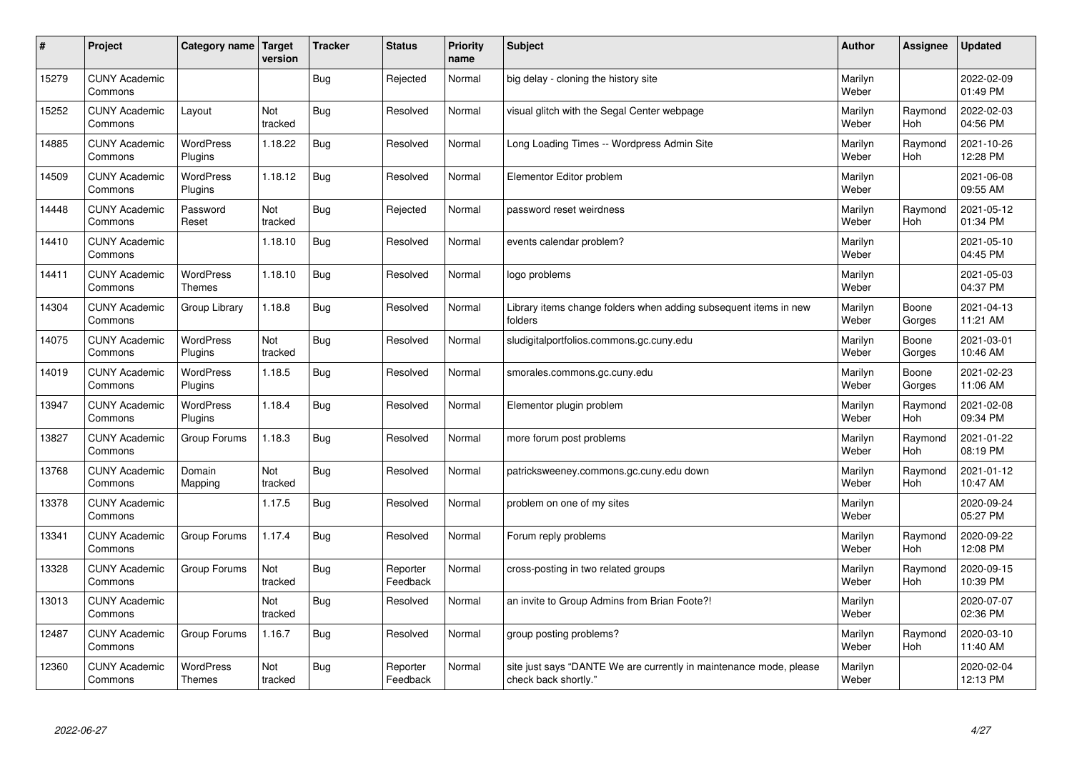| #     | Project                         | Category name   Target            | version        | <b>Tracker</b> | <b>Status</b>        | <b>Priority</b><br>name | <b>Subject</b>                                                                             | <b>Author</b>    | Assignee              | Updated                |
|-------|---------------------------------|-----------------------------------|----------------|----------------|----------------------|-------------------------|--------------------------------------------------------------------------------------------|------------------|-----------------------|------------------------|
| 15279 | <b>CUNY Academic</b><br>Commons |                                   |                | <b>Bug</b>     | Rejected             | Normal                  | big delay - cloning the history site                                                       | Marilyn<br>Weber |                       | 2022-02-09<br>01:49 PM |
| 15252 | <b>CUNY Academic</b><br>Commons | Layout                            | Not<br>tracked | Bug            | Resolved             | Normal                  | visual glitch with the Segal Center webpage                                                | Marilyn<br>Weber | Raymond<br>Hoh        | 2022-02-03<br>04:56 PM |
| 14885 | <b>CUNY Academic</b><br>Commons | <b>WordPress</b><br>Plugins       | 1.18.22        | Bug            | Resolved             | Normal                  | Long Loading Times -- Wordpress Admin Site                                                 | Marilyn<br>Weber | Raymond<br>Hoh        | 2021-10-26<br>12:28 PM |
| 14509 | <b>CUNY Academic</b><br>Commons | <b>WordPress</b><br>Plugins       | 1.18.12        | Bug            | Resolved             | Normal                  | Elementor Editor problem                                                                   | Marilyn<br>Weber |                       | 2021-06-08<br>09:55 AM |
| 14448 | <b>CUNY Academic</b><br>Commons | Password<br>Reset                 | Not<br>tracked | Bug            | Rejected             | Normal                  | password reset weirdness                                                                   | Marilyn<br>Weber | Raymond<br>Hoh        | 2021-05-12<br>01:34 PM |
| 14410 | <b>CUNY Academic</b><br>Commons |                                   | 1.18.10        | Bug            | Resolved             | Normal                  | events calendar problem?                                                                   | Marilyn<br>Weber |                       | 2021-05-10<br>04:45 PM |
| 14411 | <b>CUNY Academic</b><br>Commons | <b>WordPress</b><br><b>Themes</b> | 1.18.10        | Bug            | Resolved             | Normal                  | logo problems                                                                              | Marilyn<br>Weber |                       | 2021-05-03<br>04:37 PM |
| 14304 | <b>CUNY Academic</b><br>Commons | Group Library                     | 1.18.8         | Bug            | Resolved             | Normal                  | Library items change folders when adding subsequent items in new<br>folders                | Marilyn<br>Weber | Boone<br>Gorges       | 2021-04-13<br>11:21 AM |
| 14075 | <b>CUNY Academic</b><br>Commons | <b>WordPress</b><br>Plugins       | Not<br>tracked | Bug            | Resolved             | Normal                  | sludigitalportfolios.commons.gc.cuny.edu                                                   | Marilyn<br>Weber | Boone<br>Gorges       | 2021-03-01<br>10:46 AM |
| 14019 | <b>CUNY Academic</b><br>Commons | WordPress<br>Plugins              | 1.18.5         | <b>Bug</b>     | Resolved             | Normal                  | smorales.commons.gc.cuny.edu                                                               | Marilyn<br>Weber | Boone<br>Gorges       | 2021-02-23<br>11:06 AM |
| 13947 | <b>CUNY Academic</b><br>Commons | <b>WordPress</b><br>Plugins       | 1.18.4         | <b>Bug</b>     | Resolved             | Normal                  | Elementor plugin problem                                                                   | Marilyn<br>Weber | Raymond<br>Hoh        | 2021-02-08<br>09:34 PM |
| 13827 | <b>CUNY Academic</b><br>Commons | Group Forums                      | 1.18.3         | Bug            | Resolved             | Normal                  | more forum post problems                                                                   | Marilyn<br>Weber | Raymond<br><b>Hoh</b> | 2021-01-22<br>08:19 PM |
| 13768 | <b>CUNY Academic</b><br>Commons | Domain<br>Mapping                 | Not<br>tracked | Bug            | Resolved             | Normal                  | patricksweeney.commons.gc.cuny.edu down                                                    | Marilyn<br>Weber | Raymond<br>Hoh        | 2021-01-12<br>10:47 AM |
| 13378 | <b>CUNY Academic</b><br>Commons |                                   | 1.17.5         | Bug            | Resolved             | Normal                  | problem on one of my sites                                                                 | Marilyn<br>Weber |                       | 2020-09-24<br>05:27 PM |
| 13341 | <b>CUNY Academic</b><br>Commons | Group Forums                      | 1.17.4         | Bug            | Resolved             | Normal                  | Forum reply problems                                                                       | Marilyn<br>Weber | Raymond<br>Hoh        | 2020-09-22<br>12:08 PM |
| 13328 | <b>CUNY Academic</b><br>Commons | Group Forums                      | Not<br>tracked | Bug            | Reporter<br>Feedback | Normal                  | cross-posting in two related groups                                                        | Marilyn<br>Weber | Raymond<br>Hoh        | 2020-09-15<br>10:39 PM |
| 13013 | <b>CUNY Academic</b><br>Commons |                                   | Not<br>tracked | Bug            | Resolved             | Normal                  | an invite to Group Admins from Brian Foote?!                                               | Marilyn<br>Weber |                       | 2020-07-07<br>02:36 PM |
| 12487 | <b>CUNY Academic</b><br>Commons | Group Forums                      | 1.16.7         | <b>Bug</b>     | Resolved             | Normal                  | group posting problems?                                                                    | Marilyn<br>Weber | Raymond<br><b>Hoh</b> | 2020-03-10<br>11:40 AM |
| 12360 | <b>CUNY Academic</b><br>Commons | <b>WordPress</b><br><b>Themes</b> | Not<br>tracked | Bug            | Reporter<br>Feedback | Normal                  | site just says "DANTE We are currently in maintenance mode, please<br>check back shortly." | Marilyn<br>Weber |                       | 2020-02-04<br>12:13 PM |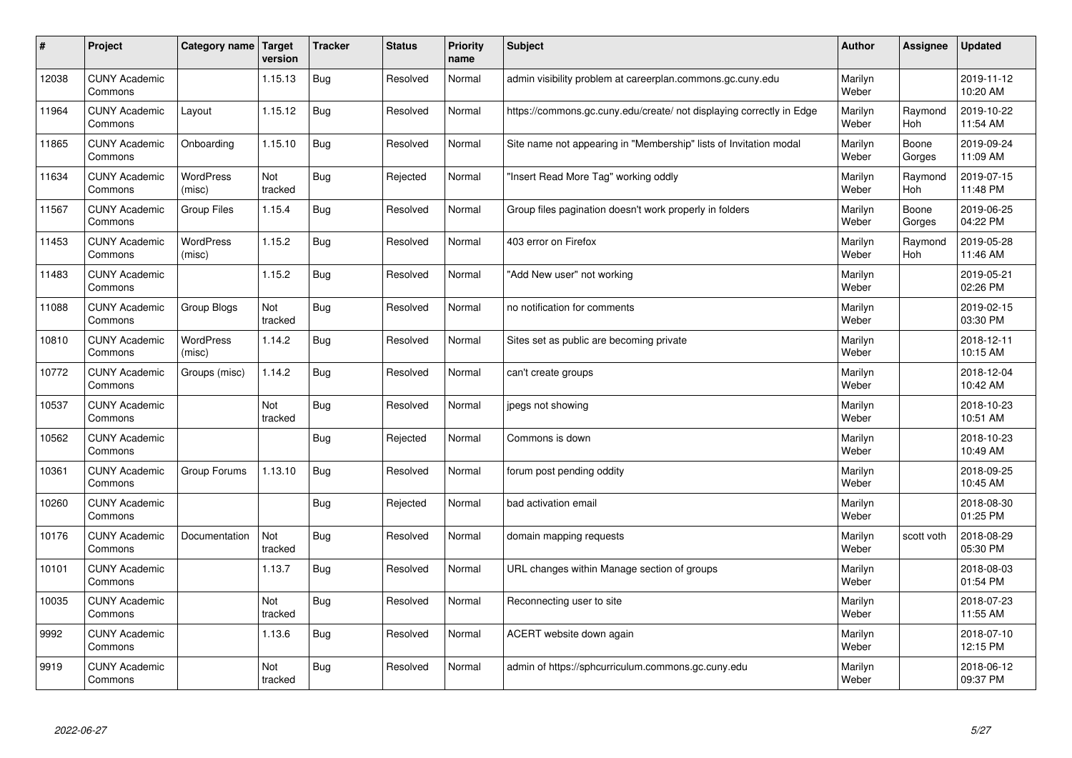| $\sharp$ | Project                         | Category name   Target     | version        | <b>Tracker</b> | <b>Status</b> | <b>Priority</b><br>name | <b>Subject</b>                                                       | <b>Author</b>    | Assignee              | <b>Updated</b>         |
|----------|---------------------------------|----------------------------|----------------|----------------|---------------|-------------------------|----------------------------------------------------------------------|------------------|-----------------------|------------------------|
| 12038    | <b>CUNY Academic</b><br>Commons |                            | 1.15.13        | Bug            | Resolved      | Normal                  | admin visibility problem at careerplan.commons.gc.cuny.edu           | Marilyn<br>Weber |                       | 2019-11-12<br>10:20 AM |
| 11964    | <b>CUNY Academic</b><br>Commons | Layout                     | 1.15.12        | Bug            | Resolved      | Normal                  | https://commons.gc.cuny.edu/create/ not displaying correctly in Edge | Marilyn<br>Weber | Raymond<br><b>Hoh</b> | 2019-10-22<br>11:54 AM |
| 11865    | <b>CUNY Academic</b><br>Commons | Onboarding                 | 1.15.10        | Bug            | Resolved      | Normal                  | Site name not appearing in "Membership" lists of Invitation modal    | Marilyn<br>Weber | Boone<br>Gorges       | 2019-09-24<br>11:09 AM |
| 11634    | <b>CUNY Academic</b><br>Commons | <b>WordPress</b><br>(misc) | Not<br>tracked | Bug            | Rejected      | Normal                  | "Insert Read More Tag" working oddly                                 | Marilyn<br>Weber | Raymond<br>Hoh        | 2019-07-15<br>11:48 PM |
| 11567    | <b>CUNY Academic</b><br>Commons | Group Files                | 1.15.4         | Bug            | Resolved      | Normal                  | Group files pagination doesn't work properly in folders              | Marilyn<br>Weber | Boone<br>Gorges       | 2019-06-25<br>04:22 PM |
| 11453    | <b>CUNY Academic</b><br>Commons | <b>WordPress</b><br>(misc) | 1.15.2         | <b>Bug</b>     | Resolved      | Normal                  | 403 error on Firefox                                                 | Marilyn<br>Weber | Raymond<br>Hoh        | 2019-05-28<br>11:46 AM |
| 11483    | <b>CUNY Academic</b><br>Commons |                            | 1.15.2         | Bug            | Resolved      | Normal                  | 'Add New user" not working                                           | Marilyn<br>Weber |                       | 2019-05-21<br>02:26 PM |
| 11088    | <b>CUNY Academic</b><br>Commons | Group Blogs                | Not<br>tracked | Bug            | Resolved      | Normal                  | no notification for comments                                         | Marilyn<br>Weber |                       | 2019-02-15<br>03:30 PM |
| 10810    | <b>CUNY Academic</b><br>Commons | WordPress<br>(misc)        | 1.14.2         | Bug            | Resolved      | Normal                  | Sites set as public are becoming private                             | Marilyn<br>Weber |                       | 2018-12-11<br>10:15 AM |
| 10772    | <b>CUNY Academic</b><br>Commons | Groups (misc)              | 1.14.2         | Bug            | Resolved      | Normal                  | can't create groups                                                  | Marilyn<br>Weber |                       | 2018-12-04<br>10:42 AM |
| 10537    | <b>CUNY Academic</b><br>Commons |                            | Not<br>tracked | Bug            | Resolved      | Normal                  | jpegs not showing                                                    | Marilyn<br>Weber |                       | 2018-10-23<br>10:51 AM |
| 10562    | <b>CUNY Academic</b><br>Commons |                            |                | <b>Bug</b>     | Rejected      | Normal                  | Commons is down                                                      | Marilyn<br>Weber |                       | 2018-10-23<br>10:49 AM |
| 10361    | <b>CUNY Academic</b><br>Commons | Group Forums               | 1.13.10        | Bug            | Resolved      | Normal                  | forum post pending oddity                                            | Marilyn<br>Weber |                       | 2018-09-25<br>10:45 AM |
| 10260    | <b>CUNY Academic</b><br>Commons |                            |                | Bug            | Rejected      | Normal                  | bad activation email                                                 | Marilyn<br>Weber |                       | 2018-08-30<br>01:25 PM |
| 10176    | <b>CUNY Academic</b><br>Commons | Documentation              | Not<br>tracked | <b>Bug</b>     | Resolved      | Normal                  | domain mapping requests                                              | Marilyn<br>Weber | scott voth            | 2018-08-29<br>05:30 PM |
| 10101    | <b>CUNY Academic</b><br>Commons |                            | 1.13.7         | Bug            | Resolved      | Normal                  | URL changes within Manage section of groups                          | Marilyn<br>Weber |                       | 2018-08-03<br>01:54 PM |
| 10035    | <b>CUNY Academic</b><br>Commons |                            | Not<br>tracked | Bug            | Resolved      | Normal                  | Reconnecting user to site                                            | Marilyn<br>Weber |                       | 2018-07-23<br>11:55 AM |
| 9992     | <b>CUNY Academic</b><br>Commons |                            | 1.13.6         | <b>Bug</b>     | Resolved      | Normal                  | ACERT website down again                                             | Marilyn<br>Weber |                       | 2018-07-10<br>12:15 PM |
| 9919     | <b>CUNY Academic</b><br>Commons |                            | Not<br>tracked | Bug            | Resolved      | Normal                  | admin of https://sphcurriculum.commons.gc.cuny.edu                   | Marilyn<br>Weber |                       | 2018-06-12<br>09:37 PM |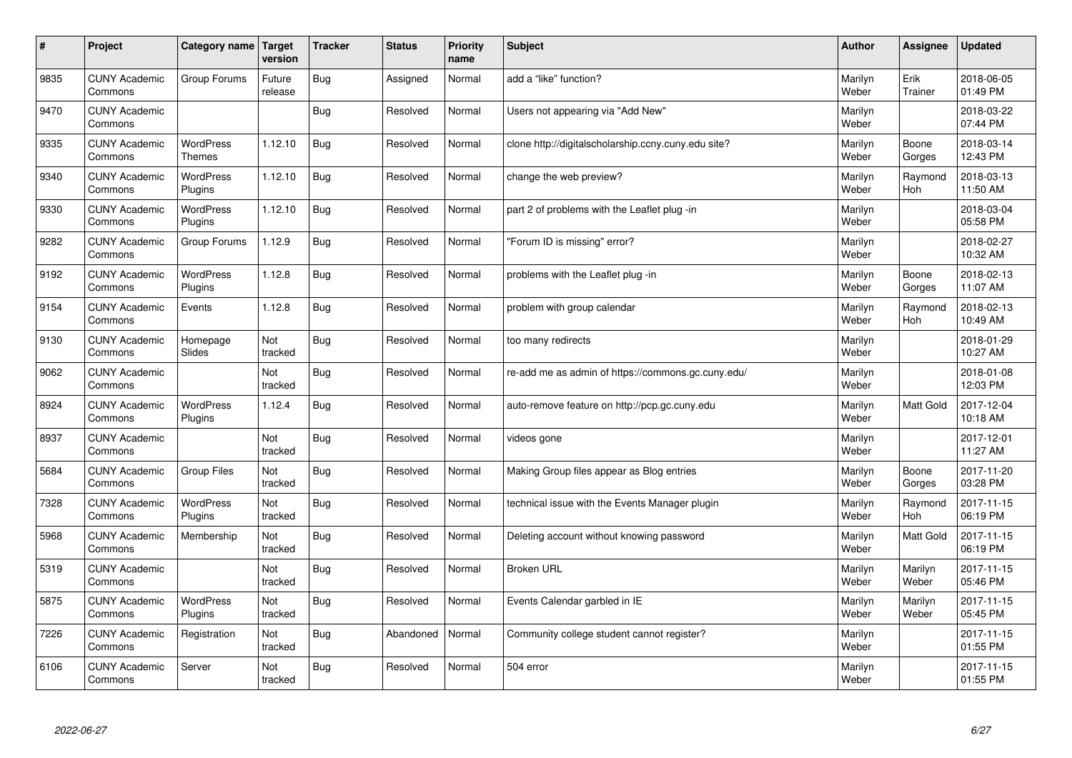| #    | Project                         | Category name                     | Target<br>version | <b>Tracker</b> | <b>Status</b> | <b>Priority</b><br>name | <b>Subject</b>                                      | <b>Author</b>    | Assignee              | Updated                |
|------|---------------------------------|-----------------------------------|-------------------|----------------|---------------|-------------------------|-----------------------------------------------------|------------------|-----------------------|------------------------|
| 9835 | <b>CUNY Academic</b><br>Commons | Group Forums                      | Future<br>release | Bug            | Assigned      | Normal                  | add a "like" function?                              | Marilyn<br>Weber | Erik<br>Trainer       | 2018-06-05<br>01:49 PM |
| 9470 | <b>CUNY Academic</b><br>Commons |                                   |                   | Bug            | Resolved      | Normal                  | Users not appearing via "Add New"                   | Marilyn<br>Weber |                       | 2018-03-22<br>07:44 PM |
| 9335 | <b>CUNY Academic</b><br>Commons | <b>WordPress</b><br><b>Themes</b> | 1.12.10           | <b>Bug</b>     | Resolved      | Normal                  | clone http://digitalscholarship.ccny.cuny.edu site? | Marilyn<br>Weber | Boone<br>Gorges       | 2018-03-14<br>12:43 PM |
| 9340 | <b>CUNY Academic</b><br>Commons | <b>WordPress</b><br>Plugins       | 1.12.10           | <b>Bug</b>     | Resolved      | Normal                  | change the web preview?                             | Marilyn<br>Weber | Raymond<br><b>Hoh</b> | 2018-03-13<br>11:50 AM |
| 9330 | <b>CUNY Academic</b><br>Commons | <b>WordPress</b><br>Plugins       | 1.12.10           | Bug            | Resolved      | Normal                  | part 2 of problems with the Leaflet plug -in        | Marilyn<br>Weber |                       | 2018-03-04<br>05:58 PM |
| 9282 | <b>CUNY Academic</b><br>Commons | Group Forums                      | 1.12.9            | Bug            | Resolved      | Normal                  | 'Forum ID is missing" error?                        | Marilyn<br>Weber |                       | 2018-02-27<br>10:32 AM |
| 9192 | <b>CUNY Academic</b><br>Commons | WordPress<br>Plugins              | 1.12.8            | <b>Bug</b>     | Resolved      | Normal                  | problems with the Leaflet plug -in                  | Marilyn<br>Weber | Boone<br>Gorges       | 2018-02-13<br>11:07 AM |
| 9154 | <b>CUNY Academic</b><br>Commons | Events                            | 1.12.8            | Bug            | Resolved      | Normal                  | problem with group calendar                         | Marilyn<br>Weber | Raymond<br>Hoh        | 2018-02-13<br>10:49 AM |
| 9130 | <b>CUNY Academic</b><br>Commons | Homepage<br>Slides                | Not<br>tracked    | Bug            | Resolved      | Normal                  | too many redirects                                  | Marilyn<br>Weber |                       | 2018-01-29<br>10:27 AM |
| 9062 | <b>CUNY Academic</b><br>Commons |                                   | Not<br>tracked    | Bug            | Resolved      | Normal                  | re-add me as admin of https://commons.gc.cuny.edu/  | Marilyn<br>Weber |                       | 2018-01-08<br>12:03 PM |
| 8924 | <b>CUNY Academic</b><br>Commons | <b>WordPress</b><br>Plugins       | 1.12.4            | <b>Bug</b>     | Resolved      | Normal                  | auto-remove feature on http://pcp.gc.cuny.edu       | Marilyn<br>Weber | <b>Matt Gold</b>      | 2017-12-04<br>10:18 AM |
| 8937 | <b>CUNY Academic</b><br>Commons |                                   | Not<br>tracked    | Bug            | Resolved      | Normal                  | videos gone                                         | Marilyn<br>Weber |                       | 2017-12-01<br>11:27 AM |
| 5684 | <b>CUNY Academic</b><br>Commons | <b>Group Files</b>                | Not<br>tracked    | Bug            | Resolved      | Normal                  | Making Group files appear as Blog entries           | Marilyn<br>Weber | Boone<br>Gorges       | 2017-11-20<br>03:28 PM |
| 7328 | <b>CUNY Academic</b><br>Commons | WordPress<br>Plugins              | Not<br>tracked    | Bug            | Resolved      | Normal                  | technical issue with the Events Manager plugin      | Marilyn<br>Weber | Raymond<br><b>Hoh</b> | 2017-11-15<br>06:19 PM |
| 5968 | <b>CUNY Academic</b><br>Commons | Membership                        | Not<br>tracked    | Bug            | Resolved      | Normal                  | Deleting account without knowing password           | Marilyn<br>Weber | Matt Gold             | 2017-11-15<br>06:19 PM |
| 5319 | <b>CUNY Academic</b><br>Commons |                                   | Not<br>tracked    | <b>Bug</b>     | Resolved      | Normal                  | <b>Broken URL</b>                                   | Marilyn<br>Weber | Marilyn<br>Weber      | 2017-11-15<br>05:46 PM |
| 5875 | <b>CUNY Academic</b><br>Commons | WordPress<br>Plugins              | Not<br>tracked    | Bug            | Resolved      | Normal                  | Events Calendar garbled in IE                       | Marilyn<br>Weber | Marilyn<br>Weber      | 2017-11-15<br>05:45 PM |
| 7226 | <b>CUNY Academic</b><br>Commons | Registration                      | Not<br>tracked    | Bug            | Abandoned     | Normal                  | Community college student cannot register?          | Marilyn<br>Weber |                       | 2017-11-15<br>01:55 PM |
| 6106 | <b>CUNY Academic</b><br>Commons | Server                            | Not<br>tracked    | Bug            | Resolved      | Normal                  | 504 error                                           | Marilyn<br>Weber |                       | 2017-11-15<br>01:55 PM |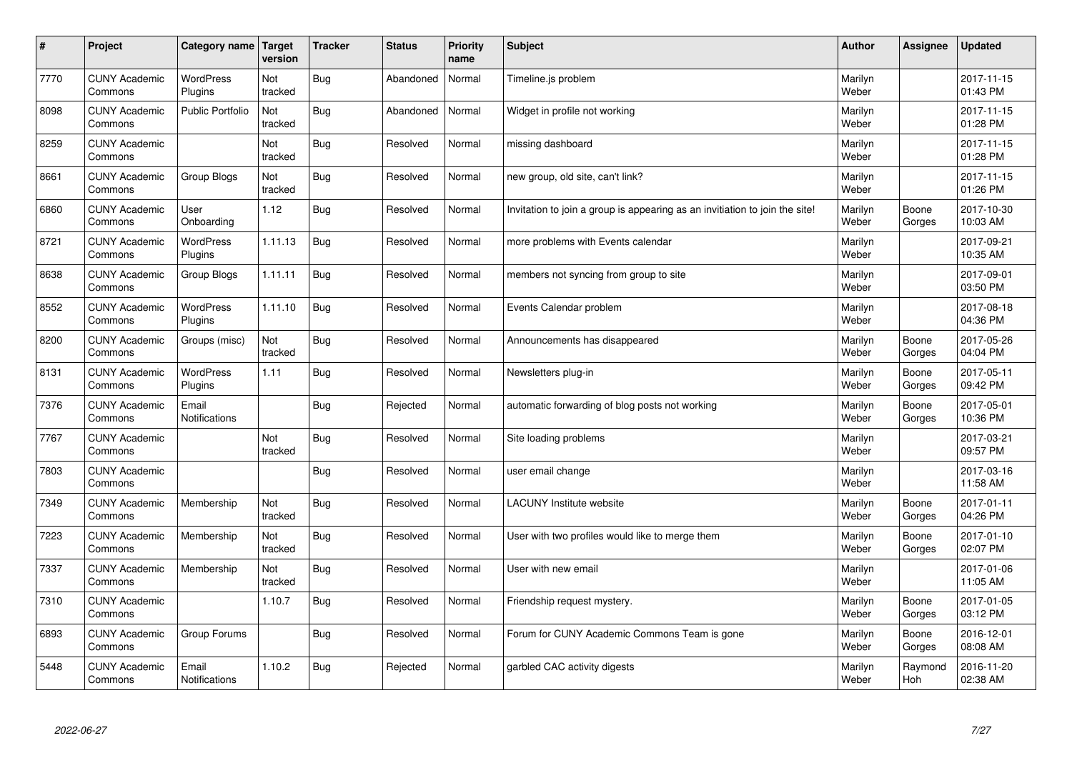| $\sharp$ | Project                         | Category name                 | Target<br>version | <b>Tracker</b> | <b>Status</b> | <b>Priority</b><br>name | <b>Subject</b>                                                              | <b>Author</b>    | Assignee        | Updated                |
|----------|---------------------------------|-------------------------------|-------------------|----------------|---------------|-------------------------|-----------------------------------------------------------------------------|------------------|-----------------|------------------------|
| 7770     | <b>CUNY Academic</b><br>Commons | <b>WordPress</b><br>Plugins   | Not<br>tracked    | Bug            | Abandoned     | Normal                  | Timeline.js problem                                                         | Marilyn<br>Weber |                 | 2017-11-15<br>01:43 PM |
| 8098     | <b>CUNY Academic</b><br>Commons | <b>Public Portfolio</b>       | Not<br>tracked    | Bug            | Abandoned     | Normal                  | Widget in profile not working                                               | Marilyn<br>Weber |                 | 2017-11-15<br>01:28 PM |
| 8259     | <b>CUNY Academic</b><br>Commons |                               | Not<br>tracked    | Bug            | Resolved      | Normal                  | missing dashboard                                                           | Marilyn<br>Weber |                 | 2017-11-15<br>01:28 PM |
| 8661     | <b>CUNY Academic</b><br>Commons | Group Blogs                   | Not<br>tracked    | Bug            | Resolved      | Normal                  | new group, old site, can't link?                                            | Marilyn<br>Weber |                 | 2017-11-15<br>01:26 PM |
| 6860     | <b>CUNY Academic</b><br>Commons | User<br>Onboarding            | 1.12              | Bug            | Resolved      | Normal                  | Invitation to join a group is appearing as an invitiation to join the site! | Marilyn<br>Weber | Boone<br>Gorges | 2017-10-30<br>10:03 AM |
| 8721     | <b>CUNY Academic</b><br>Commons | WordPress<br>Plugins          | 1.11.13           | Bug            | Resolved      | Normal                  | more problems with Events calendar                                          | Marilyn<br>Weber |                 | 2017-09-21<br>10:35 AM |
| 8638     | <b>CUNY Academic</b><br>Commons | Group Blogs                   | 1.11.11           | <b>Bug</b>     | Resolved      | Normal                  | members not syncing from group to site                                      | Marilyn<br>Weber |                 | 2017-09-01<br>03:50 PM |
| 8552     | <b>CUNY Academic</b><br>Commons | WordPress<br>Plugins          | 1.11.10           | Bug            | Resolved      | Normal                  | Events Calendar problem                                                     | Marilyn<br>Weber |                 | 2017-08-18<br>04:36 PM |
| 8200     | <b>CUNY Academic</b><br>Commons | Groups (misc)                 | Not<br>tracked    | Bug            | Resolved      | Normal                  | Announcements has disappeared                                               | Marilyn<br>Weber | Boone<br>Gorges | 2017-05-26<br>04:04 PM |
| 8131     | <b>CUNY Academic</b><br>Commons | WordPress<br>Plugins          | 1.11              | Bug            | Resolved      | Normal                  | Newsletters plug-in                                                         | Marilyn<br>Weber | Boone<br>Gorges | 2017-05-11<br>09:42 PM |
| 7376     | <b>CUNY Academic</b><br>Commons | Email<br>Notifications        |                   | <b>Bug</b>     | Rejected      | Normal                  | automatic forwarding of blog posts not working                              | Marilyn<br>Weber | Boone<br>Gorges | 2017-05-01<br>10:36 PM |
| 7767     | <b>CUNY Academic</b><br>Commons |                               | Not<br>tracked    | Bug            | Resolved      | Normal                  | Site loading problems                                                       | Marilyn<br>Weber |                 | 2017-03-21<br>09:57 PM |
| 7803     | <b>CUNY Academic</b><br>Commons |                               |                   | Bug            | Resolved      | Normal                  | user email change                                                           | Marilyn<br>Weber |                 | 2017-03-16<br>11:58 AM |
| 7349     | <b>CUNY Academic</b><br>Commons | Membership                    | Not<br>tracked    | Bug            | Resolved      | Normal                  | <b>LACUNY Institute website</b>                                             | Marilyn<br>Weber | Boone<br>Gorges | 2017-01-11<br>04:26 PM |
| 7223     | <b>CUNY Academic</b><br>Commons | Membership                    | Not<br>tracked    | Bug            | Resolved      | Normal                  | User with two profiles would like to merge them                             | Marilyn<br>Weber | Boone<br>Gorges | 2017-01-10<br>02:07 PM |
| 7337     | <b>CUNY Academic</b><br>Commons | Membership                    | Not<br>tracked    | <b>Bug</b>     | Resolved      | Normal                  | User with new email                                                         | Marilyn<br>Weber |                 | 2017-01-06<br>11:05 AM |
| 7310     | <b>CUNY Academic</b><br>Commons |                               | 1.10.7            | <b>Bug</b>     | Resolved      | Normal                  | Friendship request mystery.                                                 | Marilyn<br>Weber | Boone<br>Gorges | 2017-01-05<br>03:12 PM |
| 6893     | <b>CUNY Academic</b><br>Commons | Group Forums                  |                   | Bug            | Resolved      | Normal                  | Forum for CUNY Academic Commons Team is gone                                | Marilyn<br>Weber | Boone<br>Gorges | 2016-12-01<br>08:08 AM |
| 5448     | <b>CUNY Academic</b><br>Commons | Email<br><b>Notifications</b> | 1.10.2            | Bug            | Rejected      | Normal                  | garbled CAC activity digests                                                | Marilyn<br>Weber | Raymond<br>Hoh  | 2016-11-20<br>02:38 AM |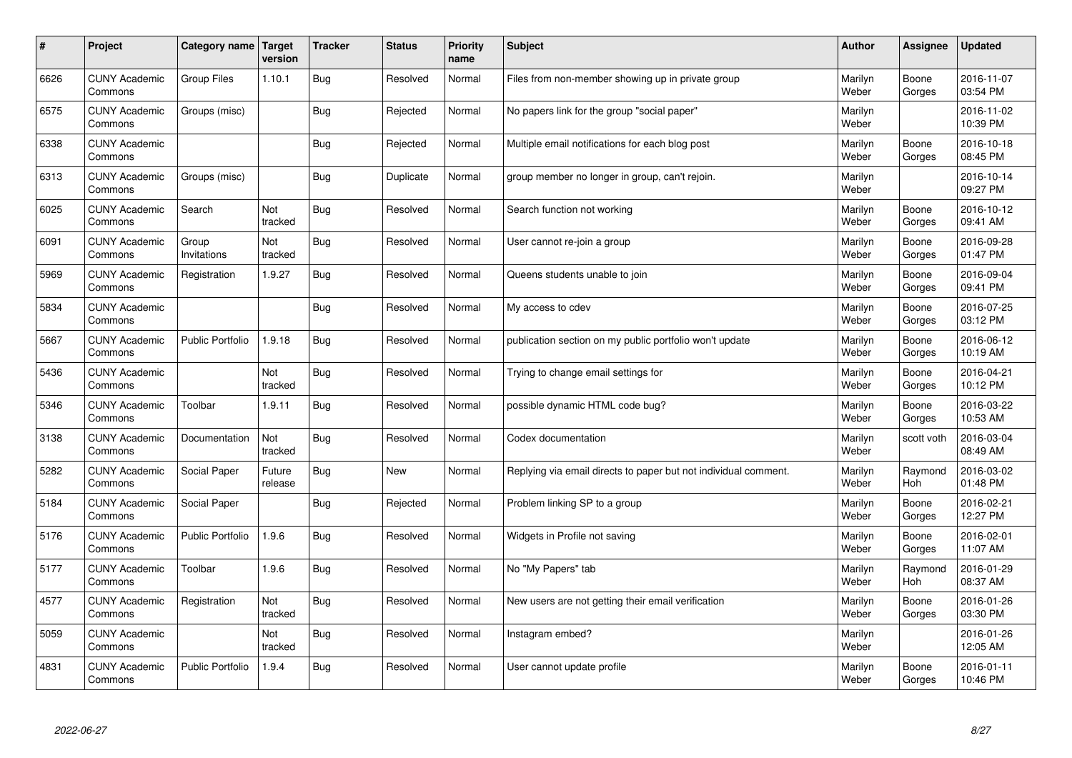| #    | Project                         | Category name   Target  | version           | <b>Tracker</b> | <b>Status</b> | Priority<br>name | <b>Subject</b>                                                  | <b>Author</b>    | <b>Assignee</b> | <b>Updated</b>         |
|------|---------------------------------|-------------------------|-------------------|----------------|---------------|------------------|-----------------------------------------------------------------|------------------|-----------------|------------------------|
| 6626 | <b>CUNY Academic</b><br>Commons | Group Files             | 1.10.1            | Bug            | Resolved      | Normal           | Files from non-member showing up in private group               | Marilyn<br>Weber | Boone<br>Gorges | 2016-11-07<br>03:54 PM |
| 6575 | <b>CUNY Academic</b><br>Commons | Groups (misc)           |                   | Bug            | Rejected      | Normal           | No papers link for the group "social paper"                     | Marilyn<br>Weber |                 | 2016-11-02<br>10:39 PM |
| 6338 | <b>CUNY Academic</b><br>Commons |                         |                   | Bug            | Rejected      | Normal           | Multiple email notifications for each blog post                 | Marilyn<br>Weber | Boone<br>Gorges | 2016-10-18<br>08:45 PM |
| 6313 | <b>CUNY Academic</b><br>Commons | Groups (misc)           |                   | Bug            | Duplicate     | Normal           | group member no longer in group, can't rejoin.                  | Marilyn<br>Weber |                 | 2016-10-14<br>09:27 PM |
| 6025 | <b>CUNY Academic</b><br>Commons | Search                  | Not<br>tracked    | Bug            | Resolved      | Normal           | Search function not working                                     | Marilyn<br>Weber | Boone<br>Gorges | 2016-10-12<br>09:41 AM |
| 6091 | <b>CUNY Academic</b><br>Commons | Group<br>Invitations    | Not<br>tracked    | Bug            | Resolved      | Normal           | User cannot re-join a group                                     | Marilyn<br>Weber | Boone<br>Gorges | 2016-09-28<br>01:47 PM |
| 5969 | <b>CUNY Academic</b><br>Commons | Registration            | 1.9.27            | <b>Bug</b>     | Resolved      | Normal           | Queens students unable to join                                  | Marilyn<br>Weber | Boone<br>Gorges | 2016-09-04<br>09:41 PM |
| 5834 | <b>CUNY Academic</b><br>Commons |                         |                   | <b>Bug</b>     | Resolved      | Normal           | My access to cdev                                               | Marilyn<br>Weber | Boone<br>Gorges | 2016-07-25<br>03:12 PM |
| 5667 | <b>CUNY Academic</b><br>Commons | <b>Public Portfolio</b> | 1.9.18            | Bug            | Resolved      | Normal           | publication section on my public portfolio won't update         | Marilyn<br>Weber | Boone<br>Gorges | 2016-06-12<br>10:19 AM |
| 5436 | <b>CUNY Academic</b><br>Commons |                         | Not<br>tracked    | Bug            | Resolved      | Normal           | Trying to change email settings for                             | Marilyn<br>Weber | Boone<br>Gorges | 2016-04-21<br>10:12 PM |
| 5346 | <b>CUNY Academic</b><br>Commons | Toolbar                 | 1.9.11            | Bug            | Resolved      | Normal           | possible dynamic HTML code bug?                                 | Marilyn<br>Weber | Boone<br>Gorges | 2016-03-22<br>10:53 AM |
| 3138 | <b>CUNY Academic</b><br>Commons | Documentation           | Not<br>tracked    | Bug            | Resolved      | Normal           | Codex documentation                                             | Marilyn<br>Weber | scott voth      | 2016-03-04<br>08:49 AM |
| 5282 | <b>CUNY Academic</b><br>Commons | Social Paper            | Future<br>release | Bug            | <b>New</b>    | Normal           | Replying via email directs to paper but not individual comment. | Marilyn<br>Weber | Raymond<br>Hoh  | 2016-03-02<br>01:48 PM |
| 5184 | <b>CUNY Academic</b><br>Commons | Social Paper            |                   | Bug            | Rejected      | Normal           | Problem linking SP to a group                                   | Marilyn<br>Weber | Boone<br>Gorges | 2016-02-21<br>12:27 PM |
| 5176 | <b>CUNY Academic</b><br>Commons | <b>Public Portfolio</b> | 1.9.6             | <b>Bug</b>     | Resolved      | Normal           | Widgets in Profile not saving                                   | Marilyn<br>Weber | Boone<br>Gorges | 2016-02-01<br>11:07 AM |
| 5177 | <b>CUNY Academic</b><br>Commons | Toolbar                 | 1.9.6             | <b>Bug</b>     | Resolved      | Normal           | No "My Papers" tab                                              | Marilyn<br>Weber | Raymond<br>Hoh  | 2016-01-29<br>08:37 AM |
| 4577 | <b>CUNY Academic</b><br>Commons | Registration            | Not<br>tracked    | Bug            | Resolved      | Normal           | New users are not getting their email verification              | Marilyn<br>Weber | Boone<br>Gorges | 2016-01-26<br>03:30 PM |
| 5059 | <b>CUNY Academic</b><br>Commons |                         | Not<br>tracked    | Bug            | Resolved      | Normal           | Instagram embed?                                                | Marilyn<br>Weber |                 | 2016-01-26<br>12:05 AM |
| 4831 | <b>CUNY Academic</b><br>Commons | <b>Public Portfolio</b> | 1.9.4             | <b>Bug</b>     | Resolved      | Normal           | User cannot update profile                                      | Marilyn<br>Weber | Boone<br>Gorges | 2016-01-11<br>10:46 PM |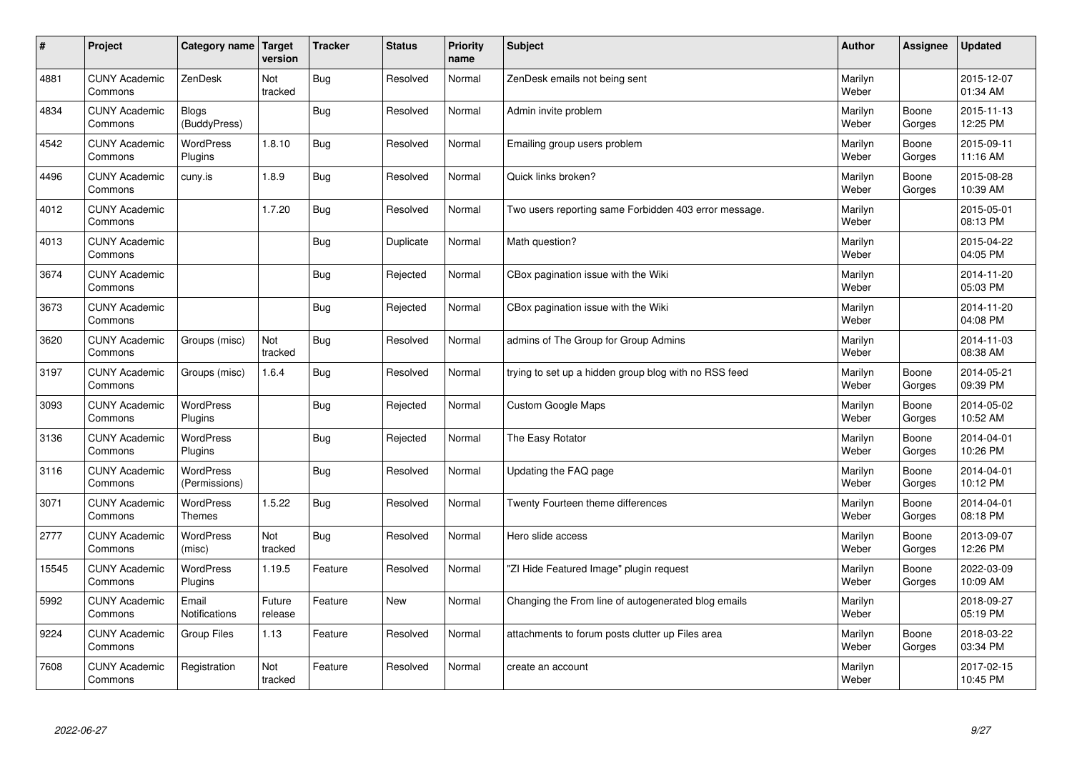| $\sharp$ | Project                         | Category name   Target            | version           | <b>Tracker</b> | <b>Status</b> | <b>Priority</b><br>name | <b>Subject</b>                                        | <b>Author</b>    | Assignee        | <b>Updated</b>         |
|----------|---------------------------------|-----------------------------------|-------------------|----------------|---------------|-------------------------|-------------------------------------------------------|------------------|-----------------|------------------------|
| 4881     | <b>CUNY Academic</b><br>Commons | ZenDesk                           | Not<br>tracked    | Bug            | Resolved      | Normal                  | ZenDesk emails not being sent                         | Marilyn<br>Weber |                 | 2015-12-07<br>01:34 AM |
| 4834     | <b>CUNY Academic</b><br>Commons | Blogs<br>(BuddyPress)             |                   | Bug            | Resolved      | Normal                  | Admin invite problem                                  | Marilyn<br>Weber | Boone<br>Gorges | 2015-11-13<br>12:25 PM |
| 4542     | <b>CUNY Academic</b><br>Commons | <b>WordPress</b><br>Plugins       | 1.8.10            | Bug            | Resolved      | Normal                  | Emailing group users problem                          | Marilyn<br>Weber | Boone<br>Gorges | 2015-09-11<br>11:16 AM |
| 4496     | <b>CUNY Academic</b><br>Commons | cuny.is                           | 1.8.9             | Bug            | Resolved      | Normal                  | Quick links broken?                                   | Marilyn<br>Weber | Boone<br>Gorges | 2015-08-28<br>10:39 AM |
| 4012     | <b>CUNY Academic</b><br>Commons |                                   | 1.7.20            | Bug            | Resolved      | Normal                  | Two users reporting same Forbidden 403 error message. | Marilyn<br>Weber |                 | 2015-05-01<br>08:13 PM |
| 4013     | <b>CUNY Academic</b><br>Commons |                                   |                   | Bug            | Duplicate     | Normal                  | Math question?                                        | Marilyn<br>Weber |                 | 2015-04-22<br>04:05 PM |
| 3674     | <b>CUNY Academic</b><br>Commons |                                   |                   | <b>Bug</b>     | Rejected      | Normal                  | CBox pagination issue with the Wiki                   | Marilyn<br>Weber |                 | 2014-11-20<br>05:03 PM |
| 3673     | <b>CUNY Academic</b><br>Commons |                                   |                   | Bug            | Rejected      | Normal                  | CBox pagination issue with the Wiki                   | Marilyn<br>Weber |                 | 2014-11-20<br>04:08 PM |
| 3620     | <b>CUNY Academic</b><br>Commons | Groups (misc)                     | Not<br>tracked    | Bug            | Resolved      | Normal                  | admins of The Group for Group Admins                  | Marilyn<br>Weber |                 | 2014-11-03<br>08:38 AM |
| 3197     | <b>CUNY Academic</b><br>Commons | Groups (misc)                     | 1.6.4             | Bug            | Resolved      | Normal                  | trying to set up a hidden group blog with no RSS feed | Marilyn<br>Weber | Boone<br>Gorges | 2014-05-21<br>09:39 PM |
| 3093     | <b>CUNY Academic</b><br>Commons | WordPress<br>Plugins              |                   | <b>Bug</b>     | Rejected      | Normal                  | Custom Google Maps                                    | Marilyn<br>Weber | Boone<br>Gorges | 2014-05-02<br>10:52 AM |
| 3136     | <b>CUNY Academic</b><br>Commons | <b>WordPress</b><br>Plugins       |                   | <b>Bug</b>     | Rejected      | Normal                  | The Easy Rotator                                      | Marilyn<br>Weber | Boone<br>Gorges | 2014-04-01<br>10:26 PM |
| 3116     | <b>CUNY Academic</b><br>Commons | <b>WordPress</b><br>(Permissions) |                   | Bug            | Resolved      | Normal                  | Updating the FAQ page                                 | Marilyn<br>Weber | Boone<br>Gorges | 2014-04-01<br>10:12 PM |
| 3071     | <b>CUNY Academic</b><br>Commons | <b>WordPress</b><br><b>Themes</b> | 1.5.22            | <b>Bug</b>     | Resolved      | Normal                  | Twenty Fourteen theme differences                     | Marilyn<br>Weber | Boone<br>Gorges | 2014-04-01<br>08:18 PM |
| 2777     | <b>CUNY Academic</b><br>Commons | <b>WordPress</b><br>(misc)        | Not<br>tracked    | Bug            | Resolved      | Normal                  | Hero slide access                                     | Marilyn<br>Weber | Boone<br>Gorges | 2013-09-07<br>12:26 PM |
| 15545    | <b>CUNY Academic</b><br>Commons | <b>WordPress</b><br>Plugins       | 1.19.5            | Feature        | Resolved      | Normal                  | "ZI Hide Featured Image" plugin request               | Marilyn<br>Weber | Boone<br>Gorges | 2022-03-09<br>10:09 AM |
| 5992     | <b>CUNY Academic</b><br>Commons | Email<br>Notifications            | Future<br>release | Feature        | <b>New</b>    | Normal                  | Changing the From line of autogenerated blog emails   | Marilyn<br>Weber |                 | 2018-09-27<br>05:19 PM |
| 9224     | <b>CUNY Academic</b><br>Commons | Group Files                       | 1.13              | Feature        | Resolved      | Normal                  | attachments to forum posts clutter up Files area      | Marilyn<br>Weber | Boone<br>Gorges | 2018-03-22<br>03:34 PM |
| 7608     | <b>CUNY Academic</b><br>Commons | Registration                      | Not<br>tracked    | Feature        | Resolved      | Normal                  | create an account                                     | Marilyn<br>Weber |                 | 2017-02-15<br>10:45 PM |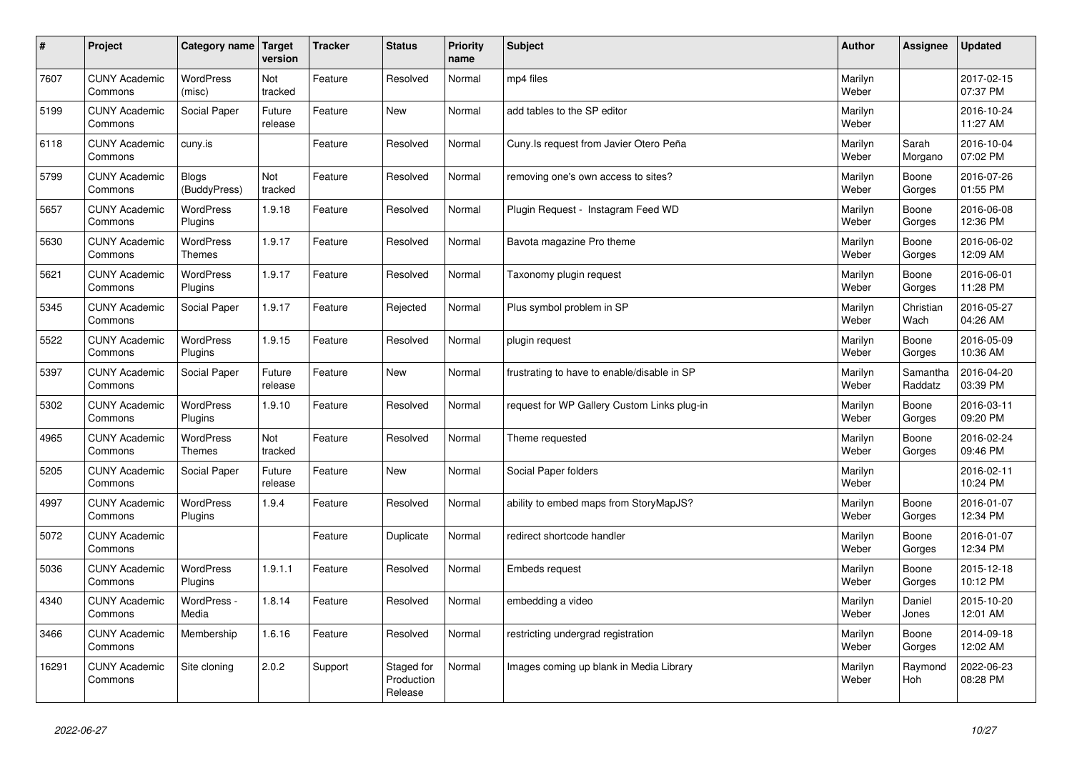| $\vert$ # | Project                         | Category name   Target            | version           | <b>Tracker</b> | <b>Status</b>                       | <b>Priority</b><br>name | <b>Subject</b>                              | <b>Author</b>    | Assignee              | <b>Updated</b>         |
|-----------|---------------------------------|-----------------------------------|-------------------|----------------|-------------------------------------|-------------------------|---------------------------------------------|------------------|-----------------------|------------------------|
| 7607      | <b>CUNY Academic</b><br>Commons | <b>WordPress</b><br>(misc)        | Not<br>tracked    | Feature        | Resolved                            | Normal                  | mp4 files                                   | Marilyn<br>Weber |                       | 2017-02-15<br>07:37 PM |
| 5199      | <b>CUNY Academic</b><br>Commons | Social Paper                      | Future<br>release | Feature        | New                                 | Normal                  | add tables to the SP editor                 | Marilyn<br>Weber |                       | 2016-10-24<br>11:27 AM |
| 6118      | <b>CUNY Academic</b><br>Commons | cuny.is                           |                   | Feature        | Resolved                            | Normal                  | Cuny. Is request from Javier Otero Peña     | Marilyn<br>Weber | Sarah<br>Morgano      | 2016-10-04<br>07:02 PM |
| 5799      | <b>CUNY Academic</b><br>Commons | <b>Blogs</b><br>(BuddyPress)      | Not<br>tracked    | Feature        | Resolved                            | Normal                  | removing one's own access to sites?         | Marilyn<br>Weber | Boone<br>Gorges       | 2016-07-26<br>01:55 PM |
| 5657      | <b>CUNY Academic</b><br>Commons | WordPress<br>Plugins              | 1.9.18            | Feature        | Resolved                            | Normal                  | Plugin Request - Instagram Feed WD          | Marilyn<br>Weber | Boone<br>Gorges       | 2016-06-08<br>12:36 PM |
| 5630      | <b>CUNY Academic</b><br>Commons | <b>WordPress</b><br><b>Themes</b> | 1.9.17            | Feature        | Resolved                            | Normal                  | Bavota magazine Pro theme                   | Marilyn<br>Weber | Boone<br>Gorges       | 2016-06-02<br>12:09 AM |
| 5621      | <b>CUNY Academic</b><br>Commons | <b>WordPress</b><br>Plugins       | 1.9.17            | Feature        | Resolved                            | Normal                  | Taxonomy plugin request                     | Marilyn<br>Weber | Boone<br>Gorges       | 2016-06-01<br>11:28 PM |
| 5345      | <b>CUNY Academic</b><br>Commons | Social Paper                      | 1.9.17            | Feature        | Rejected                            | Normal                  | Plus symbol problem in SP                   | Marilyn<br>Weber | Christian<br>Wach     | 2016-05-27<br>04:26 AM |
| 5522      | <b>CUNY Academic</b><br>Commons | <b>WordPress</b><br>Plugins       | 1.9.15            | Feature        | Resolved                            | Normal                  | plugin request                              | Marilyn<br>Weber | Boone<br>Gorges       | 2016-05-09<br>10:36 AM |
| 5397      | <b>CUNY Academic</b><br>Commons | Social Paper                      | Future<br>release | Feature        | <b>New</b>                          | Normal                  | frustrating to have to enable/disable in SP | Marilyn<br>Weber | Samantha<br>Raddatz   | 2016-04-20<br>03:39 PM |
| 5302      | <b>CUNY Academic</b><br>Commons | WordPress<br>Plugins              | 1.9.10            | Feature        | Resolved                            | Normal                  | request for WP Gallery Custom Links plug-in | Marilyn<br>Weber | Boone<br>Gorges       | 2016-03-11<br>09:20 PM |
| 4965      | <b>CUNY Academic</b><br>Commons | <b>WordPress</b><br><b>Themes</b> | Not<br>tracked    | Feature        | Resolved                            | Normal                  | Theme requested                             | Marilyn<br>Weber | Boone<br>Gorges       | 2016-02-24<br>09:46 PM |
| 5205      | <b>CUNY Academic</b><br>Commons | Social Paper                      | Future<br>release | Feature        | <b>New</b>                          | Normal                  | Social Paper folders                        | Marilyn<br>Weber |                       | 2016-02-11<br>10:24 PM |
| 4997      | <b>CUNY Academic</b><br>Commons | <b>WordPress</b><br>Plugins       | 1.9.4             | Feature        | Resolved                            | Normal                  | ability to embed maps from StoryMapJS?      | Marilyn<br>Weber | Boone<br>Gorges       | 2016-01-07<br>12:34 PM |
| 5072      | <b>CUNY Academic</b><br>Commons |                                   |                   | Feature        | Duplicate                           | Normal                  | redirect shortcode handler                  | Marilyn<br>Weber | Boone<br>Gorges       | 2016-01-07<br>12:34 PM |
| 5036      | <b>CUNY Academic</b><br>Commons | WordPress<br>Plugins              | 1.9.1.1           | Feature        | Resolved                            | Normal                  | <b>Embeds request</b>                       | Marilyn<br>Weber | Boone<br>Gorges       | 2015-12-18<br>10:12 PM |
| 4340      | <b>CUNY Academic</b><br>Commons | WordPress -<br>Media              | 1.8.14            | Feature        | Resolved                            | Normal                  | embedding a video                           | Marilyn<br>Weber | Daniel<br>Jones       | 2015-10-20<br>12:01 AM |
| 3466      | <b>CUNY Academic</b><br>Commons | Membership                        | 1.6.16            | Feature        | Resolved                            | Normal                  | restricting undergrad registration          | Marilyn<br>Weber | Boone<br>Gorges       | 2014-09-18<br>12:02 AM |
| 16291     | <b>CUNY Academic</b><br>Commons | Site cloning                      | 2.0.2             | Support        | Staged for<br>Production<br>Release | Normal                  | Images coming up blank in Media Library     | Marilyn<br>Weber | Raymond<br><b>Hoh</b> | 2022-06-23<br>08:28 PM |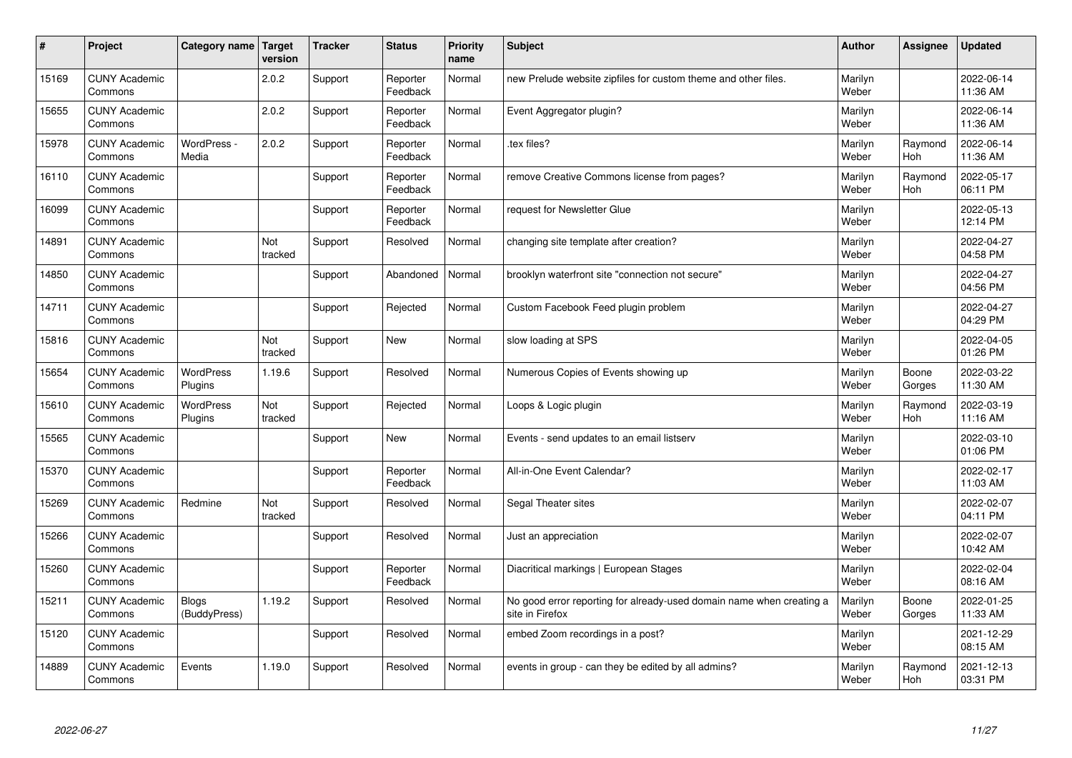| #     | Project                         | Category name               | Target<br>version | <b>Tracker</b> | <b>Status</b>        | <b>Priority</b><br>name | <b>Subject</b>                                                                          | <b>Author</b>    | Assignee              | Updated                |
|-------|---------------------------------|-----------------------------|-------------------|----------------|----------------------|-------------------------|-----------------------------------------------------------------------------------------|------------------|-----------------------|------------------------|
| 15169 | <b>CUNY Academic</b><br>Commons |                             | 2.0.2             | Support        | Reporter<br>Feedback | Normal                  | new Prelude website zipfiles for custom theme and other files.                          | Marilyn<br>Weber |                       | 2022-06-14<br>11:36 AM |
| 15655 | <b>CUNY Academic</b><br>Commons |                             | 2.0.2             | Support        | Reporter<br>Feedback | Normal                  | Event Aggregator plugin?                                                                | Marilyn<br>Weber |                       | 2022-06-14<br>11:36 AM |
| 15978 | <b>CUNY Academic</b><br>Commons | WordPress -<br>Media        | 2.0.2             | Support        | Reporter<br>Feedback | Normal                  | tex files?                                                                              | Marilyn<br>Weber | Raymond<br><b>Hoh</b> | 2022-06-14<br>11:36 AM |
| 16110 | <b>CUNY Academic</b><br>Commons |                             |                   | Support        | Reporter<br>Feedback | Normal                  | remove Creative Commons license from pages?                                             | Marilyn<br>Weber | Raymond<br><b>Hoh</b> | 2022-05-17<br>06:11 PM |
| 16099 | <b>CUNY Academic</b><br>Commons |                             |                   | Support        | Reporter<br>Feedback | Normal                  | request for Newsletter Glue                                                             | Marilyn<br>Weber |                       | 2022-05-13<br>12:14 PM |
| 14891 | <b>CUNY Academic</b><br>Commons |                             | Not<br>tracked    | Support        | Resolved             | Normal                  | changing site template after creation?                                                  | Marilyn<br>Weber |                       | 2022-04-27<br>04:58 PM |
| 14850 | <b>CUNY Academic</b><br>Commons |                             |                   | Support        | Abandoned            | Normal                  | brooklyn waterfront site "connection not secure"                                        | Marilyn<br>Weber |                       | 2022-04-27<br>04:56 PM |
| 14711 | <b>CUNY Academic</b><br>Commons |                             |                   | Support        | Rejected             | Normal                  | Custom Facebook Feed plugin problem                                                     | Marilyn<br>Weber |                       | 2022-04-27<br>04:29 PM |
| 15816 | <b>CUNY Academic</b><br>Commons |                             | Not<br>tracked    | Support        | New                  | Normal                  | slow loading at SPS                                                                     | Marilyn<br>Weber |                       | 2022-04-05<br>01:26 PM |
| 15654 | <b>CUNY Academic</b><br>Commons | <b>WordPress</b><br>Plugins | 1.19.6            | Support        | Resolved             | Normal                  | Numerous Copies of Events showing up                                                    | Marilyn<br>Weber | Boone<br>Gorges       | 2022-03-22<br>11:30 AM |
| 15610 | <b>CUNY Academic</b><br>Commons | WordPress<br>Plugins        | Not<br>tracked    | Support        | Rejected             | Normal                  | Loops & Logic plugin                                                                    | Marilyn<br>Weber | Raymond<br><b>Hoh</b> | 2022-03-19<br>11:16 AM |
| 15565 | <b>CUNY Academic</b><br>Commons |                             |                   | Support        | <b>New</b>           | Normal                  | Events - send updates to an email listserv                                              | Marilyn<br>Weber |                       | 2022-03-10<br>01:06 PM |
| 15370 | <b>CUNY Academic</b><br>Commons |                             |                   | Support        | Reporter<br>Feedback | Normal                  | All-in-One Event Calendar?                                                              | Marilyn<br>Weber |                       | 2022-02-17<br>11:03 AM |
| 15269 | <b>CUNY Academic</b><br>Commons | Redmine                     | Not<br>tracked    | Support        | Resolved             | Normal                  | Segal Theater sites                                                                     | Marilyn<br>Weber |                       | 2022-02-07<br>04:11 PM |
| 15266 | <b>CUNY Academic</b><br>Commons |                             |                   | Support        | Resolved             | Normal                  | Just an appreciation                                                                    | Marilyn<br>Weber |                       | 2022-02-07<br>10:42 AM |
| 15260 | <b>CUNY Academic</b><br>Commons |                             |                   | Support        | Reporter<br>Feedback | Normal                  | Diacritical markings   European Stages                                                  | Marilyn<br>Weber |                       | 2022-02-04<br>08:16 AM |
| 15211 | <b>CUNY Academic</b><br>Commons | Blogs<br>(BuddyPress)       | 1.19.2            | Support        | Resolved             | Normal                  | No good error reporting for already-used domain name when creating a<br>site in Firefox | Marilyn<br>Weber | Boone<br>Gorges       | 2022-01-25<br>11:33 AM |
| 15120 | <b>CUNY Academic</b><br>Commons |                             |                   | Support        | Resolved             | Normal                  | embed Zoom recordings in a post?                                                        | Marilyn<br>Weber |                       | 2021-12-29<br>08:15 AM |
| 14889 | <b>CUNY Academic</b><br>Commons | Events                      | 1.19.0            | Support        | Resolved             | Normal                  | events in group - can they be edited by all admins?                                     | Marilyn<br>Weber | Raymond<br>Hoh        | 2021-12-13<br>03:31 PM |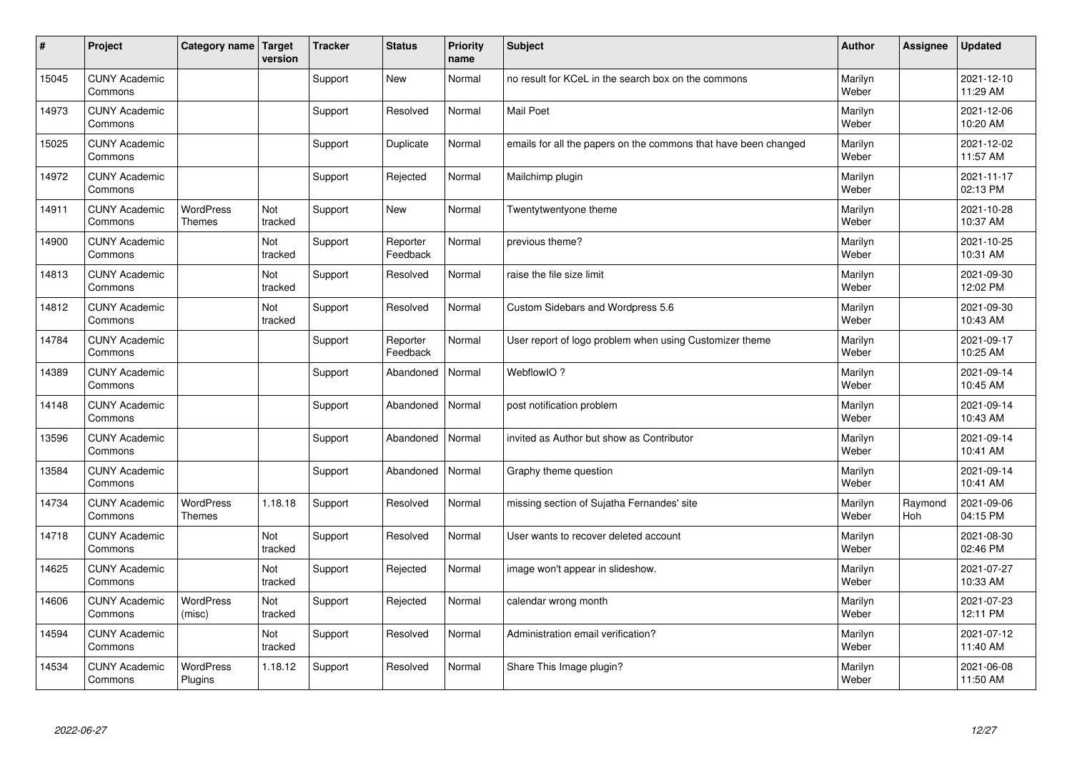| #     | Project                         | Category name   Target            | version        | <b>Tracker</b> | <b>Status</b>        | <b>Priority</b><br>name | <b>Subject</b>                                                  | <b>Author</b>    | <b>Assignee</b> | <b>Updated</b>         |
|-------|---------------------------------|-----------------------------------|----------------|----------------|----------------------|-------------------------|-----------------------------------------------------------------|------------------|-----------------|------------------------|
| 15045 | <b>CUNY Academic</b><br>Commons |                                   |                | Support        | <b>New</b>           | Normal                  | no result for KCeL in the search box on the commons             | Marilyn<br>Weber |                 | 2021-12-10<br>11:29 AM |
| 14973 | <b>CUNY Academic</b><br>Commons |                                   |                | Support        | Resolved             | Normal                  | <b>Mail Poet</b>                                                | Marilyn<br>Weber |                 | 2021-12-06<br>10:20 AM |
| 15025 | <b>CUNY Academic</b><br>Commons |                                   |                | Support        | Duplicate            | Normal                  | emails for all the papers on the commons that have been changed | Marilyn<br>Weber |                 | 2021-12-02<br>11:57 AM |
| 14972 | <b>CUNY Academic</b><br>Commons |                                   |                | Support        | Rejected             | Normal                  | Mailchimp plugin                                                | Marilyn<br>Weber |                 | 2021-11-17<br>02:13 PM |
| 14911 | <b>CUNY Academic</b><br>Commons | <b>WordPress</b><br><b>Themes</b> | Not<br>tracked | Support        | <b>New</b>           | Normal                  | Twentytwentyone theme                                           | Marilyn<br>Weber |                 | 2021-10-28<br>10:37 AM |
| 14900 | <b>CUNY Academic</b><br>Commons |                                   | Not<br>tracked | Support        | Reporter<br>Feedback | Normal                  | previous theme?                                                 | Marilyn<br>Weber |                 | 2021-10-25<br>10:31 AM |
| 14813 | <b>CUNY Academic</b><br>Commons |                                   | Not<br>tracked | Support        | Resolved             | Normal                  | raise the file size limit                                       | Marilyn<br>Weber |                 | 2021-09-30<br>12:02 PM |
| 14812 | <b>CUNY Academic</b><br>Commons |                                   | Not<br>tracked | Support        | Resolved             | Normal                  | Custom Sidebars and Wordpress 5.6                               | Marilyn<br>Weber |                 | 2021-09-30<br>10:43 AM |
| 14784 | <b>CUNY Academic</b><br>Commons |                                   |                | Support        | Reporter<br>Feedback | Normal                  | User report of logo problem when using Customizer theme         | Marilyn<br>Weber |                 | 2021-09-17<br>10:25 AM |
| 14389 | <b>CUNY Academic</b><br>Commons |                                   |                | Support        | Abandoned            | Normal                  | WebflowIO?                                                      | Marilyn<br>Weber |                 | 2021-09-14<br>10:45 AM |
| 14148 | <b>CUNY Academic</b><br>Commons |                                   |                | Support        | Abandoned            | Normal                  | post notification problem                                       | Marilyn<br>Weber |                 | 2021-09-14<br>10:43 AM |
| 13596 | <b>CUNY Academic</b><br>Commons |                                   |                | Support        | Abandoned            | Normal                  | invited as Author but show as Contributor                       | Marilyn<br>Weber |                 | 2021-09-14<br>10:41 AM |
| 13584 | <b>CUNY Academic</b><br>Commons |                                   |                | Support        | Abandoned            | Normal                  | Graphy theme question                                           | Marilyn<br>Weber |                 | 2021-09-14<br>10:41 AM |
| 14734 | <b>CUNY Academic</b><br>Commons | WordPress<br><b>Themes</b>        | 1.18.18        | Support        | Resolved             | Normal                  | missing section of Sujatha Fernandes' site                      | Marilyn<br>Weber | Raymond<br>Hoh  | 2021-09-06<br>04:15 PM |
| 14718 | <b>CUNY Academic</b><br>Commons |                                   | Not<br>tracked | Support        | Resolved             | Normal                  | User wants to recover deleted account                           | Marilyn<br>Weber |                 | 2021-08-30<br>02:46 PM |
| 14625 | <b>CUNY Academic</b><br>Commons |                                   | Not<br>tracked | Support        | Rejected             | Normal                  | image won't appear in slideshow.                                | Marilyn<br>Weber |                 | 2021-07-27<br>10:33 AM |
| 14606 | <b>CUNY Academic</b><br>Commons | WordPress<br>(misc)               | Not<br>tracked | Support        | Rejected             | Normal                  | calendar wrong month                                            | Marilyn<br>Weber |                 | 2021-07-23<br>12:11 PM |
| 14594 | <b>CUNY Academic</b><br>Commons |                                   | Not<br>tracked | Support        | Resolved             | Normal                  | Administration email verification?                              | Marilyn<br>Weber |                 | 2021-07-12<br>11:40 AM |
| 14534 | <b>CUNY Academic</b><br>Commons | <b>WordPress</b><br>Plugins       | 1.18.12        | Support        | Resolved             | Normal                  | Share This Image plugin?                                        | Marilyn<br>Weber |                 | 2021-06-08<br>11:50 AM |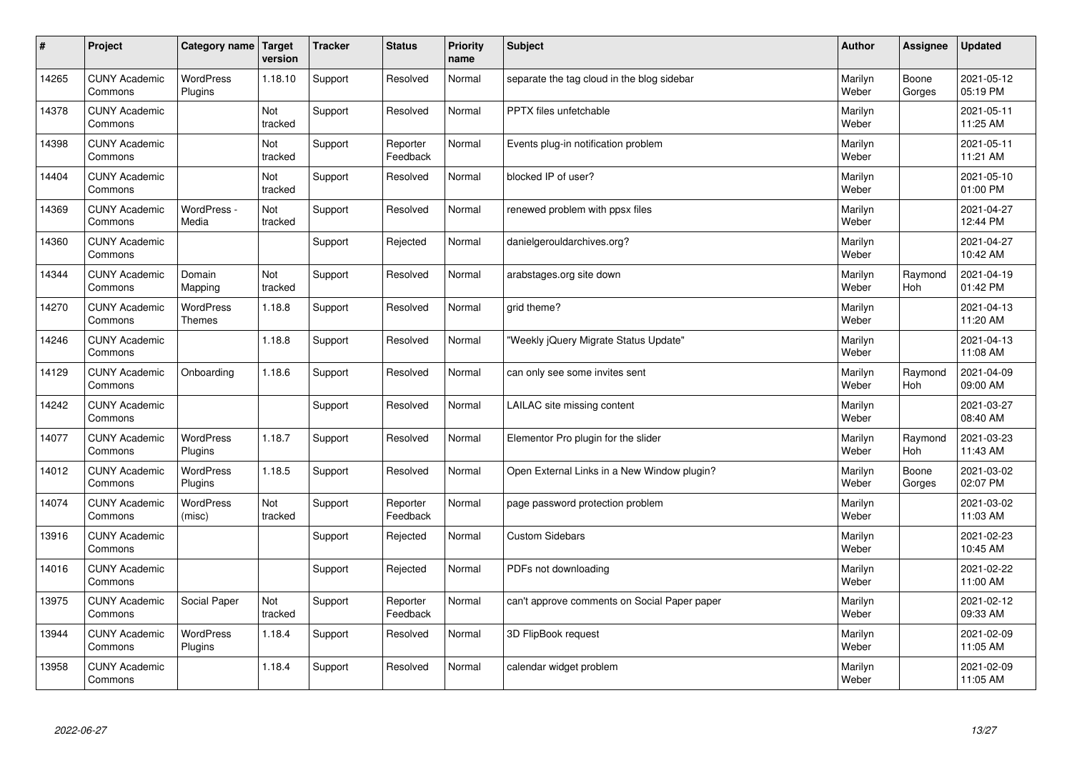| #     | Project                         | Category name                     | <b>Target</b><br>version | <b>Tracker</b> | <b>Status</b>        | <b>Priority</b><br>name | <b>Subject</b>                               | <b>Author</b>    | Assignee        | <b>Updated</b>         |
|-------|---------------------------------|-----------------------------------|--------------------------|----------------|----------------------|-------------------------|----------------------------------------------|------------------|-----------------|------------------------|
| 14265 | <b>CUNY Academic</b><br>Commons | <b>WordPress</b><br>Plugins       | 1.18.10                  | Support        | Resolved             | Normal                  | separate the tag cloud in the blog sidebar   | Marilyn<br>Weber | Boone<br>Gorges | 2021-05-12<br>05:19 PM |
| 14378 | <b>CUNY Academic</b><br>Commons |                                   | Not<br>tracked           | Support        | Resolved             | Normal                  | PPTX files unfetchable                       | Marilyn<br>Weber |                 | 2021-05-11<br>11:25 AM |
| 14398 | <b>CUNY Academic</b><br>Commons |                                   | Not<br>tracked           | Support        | Reporter<br>Feedback | Normal                  | Events plug-in notification problem          | Marilyn<br>Weber |                 | 2021-05-11<br>11:21 AM |
| 14404 | <b>CUNY Academic</b><br>Commons |                                   | Not<br>tracked           | Support        | Resolved             | Normal                  | blocked IP of user?                          | Marilyn<br>Weber |                 | 2021-05-10<br>01:00 PM |
| 14369 | <b>CUNY Academic</b><br>Commons | WordPress -<br>Media              | Not<br>tracked           | Support        | Resolved             | Normal                  | renewed problem with ppsx files              | Marilyn<br>Weber |                 | 2021-04-27<br>12:44 PM |
| 14360 | <b>CUNY Academic</b><br>Commons |                                   |                          | Support        | Rejected             | Normal                  | danielgerouldarchives.org?                   | Marilyn<br>Weber |                 | 2021-04-27<br>10:42 AM |
| 14344 | <b>CUNY Academic</b><br>Commons | Domain<br>Mapping                 | Not<br>tracked           | Support        | Resolved             | Normal                  | arabstages.org site down                     | Marilyn<br>Weber | Raymond<br>Hoh  | 2021-04-19<br>01:42 PM |
| 14270 | <b>CUNY Academic</b><br>Commons | <b>WordPress</b><br><b>Themes</b> | 1.18.8                   | Support        | Resolved             | Normal                  | grid theme?                                  | Marilyn<br>Weber |                 | 2021-04-13<br>11:20 AM |
| 14246 | <b>CUNY Academic</b><br>Commons |                                   | 1.18.8                   | Support        | Resolved             | Normal                  | 'Weekly jQuery Migrate Status Update"        | Marilyn<br>Weber |                 | 2021-04-13<br>11:08 AM |
| 14129 | <b>CUNY Academic</b><br>Commons | Onboarding                        | 1.18.6                   | Support        | Resolved             | Normal                  | can only see some invites sent               | Marilyn<br>Weber | Raymond<br>Hoh  | 2021-04-09<br>09:00 AM |
| 14242 | <b>CUNY Academic</b><br>Commons |                                   |                          | Support        | Resolved             | Normal                  | LAILAC site missing content                  | Marilyn<br>Weber |                 | 2021-03-27<br>08:40 AM |
| 14077 | <b>CUNY Academic</b><br>Commons | <b>WordPress</b><br>Plugins       | 1.18.7                   | Support        | Resolved             | Normal                  | Elementor Pro plugin for the slider          | Marilyn<br>Weber | Raymond<br>Hoh  | 2021-03-23<br>11:43 AM |
| 14012 | <b>CUNY Academic</b><br>Commons | <b>WordPress</b><br>Plugins       | 1.18.5                   | Support        | Resolved             | Normal                  | Open External Links in a New Window plugin?  | Marilyn<br>Weber | Boone<br>Gorges | 2021-03-02<br>02:07 PM |
| 14074 | <b>CUNY Academic</b><br>Commons | WordPress<br>(misc)               | Not<br>tracked           | Support        | Reporter<br>Feedback | Normal                  | page password protection problem             | Marilyn<br>Weber |                 | 2021-03-02<br>11:03 AM |
| 13916 | <b>CUNY Academic</b><br>Commons |                                   |                          | Support        | Rejected             | Normal                  | <b>Custom Sidebars</b>                       | Marilyn<br>Weber |                 | 2021-02-23<br>10:45 AM |
| 14016 | <b>CUNY Academic</b><br>Commons |                                   |                          | Support        | Rejected             | Normal                  | PDFs not downloading                         | Marilyn<br>Weber |                 | 2021-02-22<br>11:00 AM |
| 13975 | <b>CUNY Academic</b><br>Commons | Social Paper                      | Not<br>tracked           | Support        | Reporter<br>Feedback | Normal                  | can't approve comments on Social Paper paper | Marilyn<br>Weber |                 | 2021-02-12<br>09:33 AM |
| 13944 | <b>CUNY Academic</b><br>Commons | WordPress<br>Plugins              | 1.18.4                   | Support        | Resolved             | Normal                  | 3D FlipBook request                          | Marilyn<br>Weber |                 | 2021-02-09<br>11:05 AM |
| 13958 | <b>CUNY Academic</b><br>Commons |                                   | 1.18.4                   | Support        | Resolved             | Normal                  | calendar widget problem                      | Marilyn<br>Weber |                 | 2021-02-09<br>11:05 AM |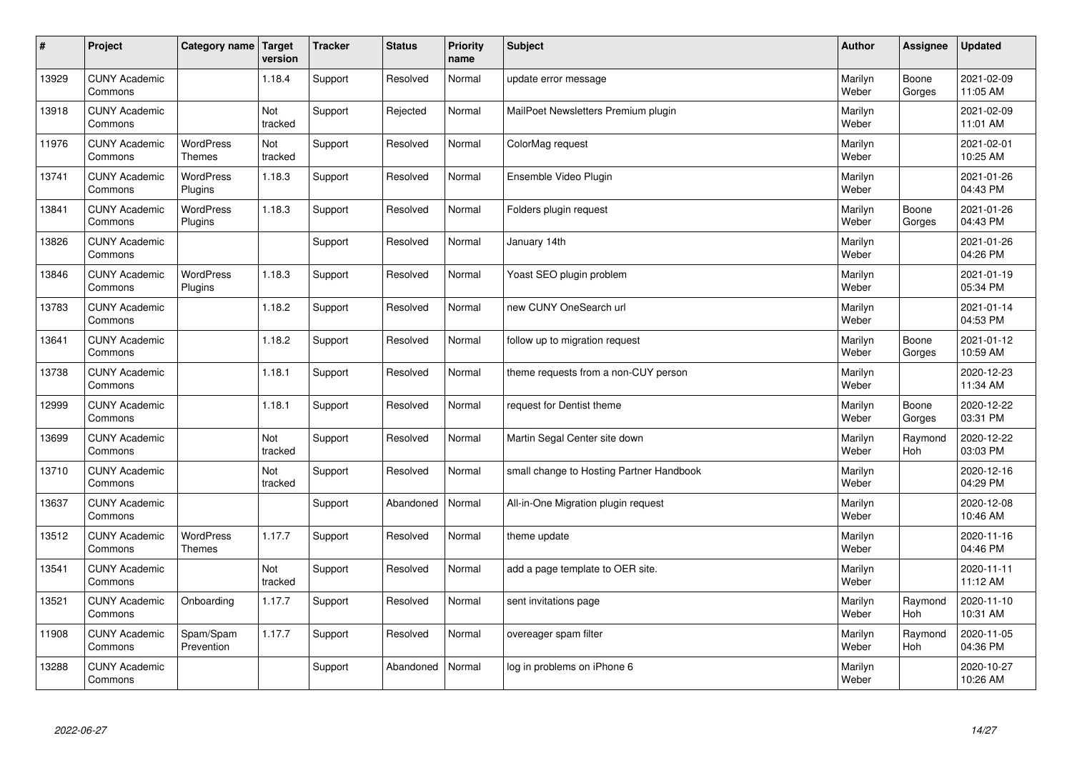| $\sharp$ | Project                         | Category name   Target            | version        | <b>Tracker</b> | <b>Status</b> | <b>Priority</b><br>name | <b>Subject</b>                           | <b>Author</b>    | <b>Assignee</b>       | <b>Updated</b>         |
|----------|---------------------------------|-----------------------------------|----------------|----------------|---------------|-------------------------|------------------------------------------|------------------|-----------------------|------------------------|
| 13929    | <b>CUNY Academic</b><br>Commons |                                   | 1.18.4         | Support        | Resolved      | Normal                  | update error message                     | Marilyn<br>Weber | Boone<br>Gorges       | 2021-02-09<br>11:05 AM |
| 13918    | <b>CUNY Academic</b><br>Commons |                                   | Not<br>tracked | Support        | Rejected      | Normal                  | MailPoet Newsletters Premium plugin      | Marilyn<br>Weber |                       | 2021-02-09<br>11:01 AM |
| 11976    | <b>CUNY Academic</b><br>Commons | <b>WordPress</b><br><b>Themes</b> | Not<br>tracked | Support        | Resolved      | Normal                  | ColorMag request                         | Marilyn<br>Weber |                       | 2021-02-01<br>10:25 AM |
| 13741    | <b>CUNY Academic</b><br>Commons | <b>WordPress</b><br>Plugins       | 1.18.3         | Support        | Resolved      | Normal                  | Ensemble Video Plugin                    | Marilyn<br>Weber |                       | 2021-01-26<br>04:43 PM |
| 13841    | <b>CUNY Academic</b><br>Commons | <b>WordPress</b><br>Plugins       | 1.18.3         | Support        | Resolved      | Normal                  | Folders plugin request                   | Marilyn<br>Weber | Boone<br>Gorges       | 2021-01-26<br>04:43 PM |
| 13826    | <b>CUNY Academic</b><br>Commons |                                   |                | Support        | Resolved      | Normal                  | January 14th                             | Marilyn<br>Weber |                       | 2021-01-26<br>04:26 PM |
| 13846    | <b>CUNY Academic</b><br>Commons | <b>WordPress</b><br>Plugins       | 1.18.3         | Support        | Resolved      | Normal                  | Yoast SEO plugin problem                 | Marilyn<br>Weber |                       | 2021-01-19<br>05:34 PM |
| 13783    | <b>CUNY Academic</b><br>Commons |                                   | 1.18.2         | Support        | Resolved      | Normal                  | new CUNY OneSearch url                   | Marilyn<br>Weber |                       | 2021-01-14<br>04:53 PM |
| 13641    | <b>CUNY Academic</b><br>Commons |                                   | 1.18.2         | Support        | Resolved      | Normal                  | follow up to migration request           | Marilyn<br>Weber | Boone<br>Gorges       | 2021-01-12<br>10:59 AM |
| 13738    | <b>CUNY Academic</b><br>Commons |                                   | 1.18.1         | Support        | Resolved      | Normal                  | theme requests from a non-CUY person     | Marilyn<br>Weber |                       | 2020-12-23<br>11:34 AM |
| 12999    | <b>CUNY Academic</b><br>Commons |                                   | 1.18.1         | Support        | Resolved      | Normal                  | request for Dentist theme                | Marilyn<br>Weber | Boone<br>Gorges       | 2020-12-22<br>03:31 PM |
| 13699    | <b>CUNY Academic</b><br>Commons |                                   | Not<br>tracked | Support        | Resolved      | Normal                  | Martin Segal Center site down            | Marilyn<br>Weber | Raymond<br><b>Hoh</b> | 2020-12-22<br>03:03 PM |
| 13710    | <b>CUNY Academic</b><br>Commons |                                   | Not<br>tracked | Support        | Resolved      | Normal                  | small change to Hosting Partner Handbook | Marilyn<br>Weber |                       | 2020-12-16<br>04:29 PM |
| 13637    | <b>CUNY Academic</b><br>Commons |                                   |                | Support        | Abandoned     | Normal                  | All-in-One Migration plugin request      | Marilyn<br>Weber |                       | 2020-12-08<br>10:46 AM |
| 13512    | <b>CUNY Academic</b><br>Commons | WordPress<br><b>Themes</b>        | 1.17.7         | Support        | Resolved      | Normal                  | theme update                             | Marilyn<br>Weber |                       | 2020-11-16<br>04:46 PM |
| 13541    | <b>CUNY Academic</b><br>Commons |                                   | Not<br>tracked | Support        | Resolved      | Normal                  | add a page template to OER site.         | Marilyn<br>Weber |                       | 2020-11-11<br>11:12 AM |
| 13521    | <b>CUNY Academic</b><br>Commons | Onboarding                        | 1.17.7         | Support        | Resolved      | Normal                  | sent invitations page                    | Marilyn<br>Weber | Raymond<br>Hoh        | 2020-11-10<br>10:31 AM |
| 11908    | <b>CUNY Academic</b><br>Commons | Spam/Spam<br>Prevention           | 1.17.7         | Support        | Resolved      | Normal                  | overeager spam filter                    | Marilyn<br>Weber | Raymond<br><b>Hoh</b> | 2020-11-05<br>04:36 PM |
| 13288    | <b>CUNY Academic</b><br>Commons |                                   |                | Support        | Abandoned     | Normal                  | log in problems on iPhone 6              | Marilyn<br>Weber |                       | 2020-10-27<br>10:26 AM |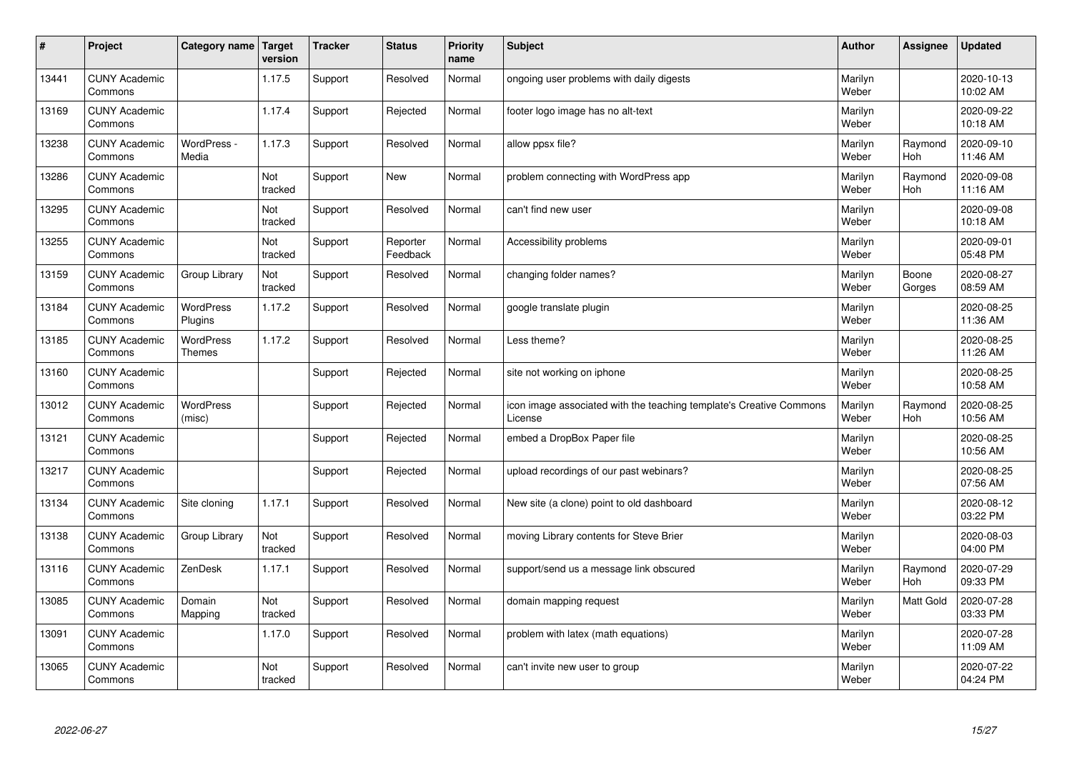| $\sharp$ | Project                         | Category name   Target     | version        | <b>Tracker</b> | <b>Status</b>        | <b>Priority</b><br>name | <b>Subject</b>                                                                 | <b>Author</b>    | Assignee              | <b>Updated</b>         |
|----------|---------------------------------|----------------------------|----------------|----------------|----------------------|-------------------------|--------------------------------------------------------------------------------|------------------|-----------------------|------------------------|
| 13441    | <b>CUNY Academic</b><br>Commons |                            | 1.17.5         | Support        | Resolved             | Normal                  | ongoing user problems with daily digests                                       | Marilyn<br>Weber |                       | 2020-10-13<br>10:02 AM |
| 13169    | <b>CUNY Academic</b><br>Commons |                            | 1.17.4         | Support        | Rejected             | Normal                  | footer logo image has no alt-text                                              | Marilyn<br>Weber |                       | 2020-09-22<br>10:18 AM |
| 13238    | <b>CUNY Academic</b><br>Commons | WordPress -<br>Media       | 1.17.3         | Support        | Resolved             | Normal                  | allow ppsx file?                                                               | Marilyn<br>Weber | Raymond<br><b>Hoh</b> | 2020-09-10<br>11:46 AM |
| 13286    | <b>CUNY Academic</b><br>Commons |                            | Not<br>tracked | Support        | <b>New</b>           | Normal                  | problem connecting with WordPress app                                          | Marilyn<br>Weber | Raymond<br>Hoh        | 2020-09-08<br>11:16 AM |
| 13295    | <b>CUNY Academic</b><br>Commons |                            | Not<br>tracked | Support        | Resolved             | Normal                  | can't find new user                                                            | Marilyn<br>Weber |                       | 2020-09-08<br>10:18 AM |
| 13255    | <b>CUNY Academic</b><br>Commons |                            | Not<br>tracked | Support        | Reporter<br>Feedback | Normal                  | Accessibility problems                                                         | Marilyn<br>Weber |                       | 2020-09-01<br>05:48 PM |
| 13159    | <b>CUNY Academic</b><br>Commons | Group Library              | Not<br>tracked | Support        | Resolved             | Normal                  | changing folder names?                                                         | Marilyn<br>Weber | Boone<br>Gorges       | 2020-08-27<br>08:59 AM |
| 13184    | <b>CUNY Academic</b><br>Commons | WordPress<br>Plugins       | 1.17.2         | Support        | Resolved             | Normal                  | google translate plugin                                                        | Marilyn<br>Weber |                       | 2020-08-25<br>11:36 AM |
| 13185    | <b>CUNY Academic</b><br>Commons | <b>WordPress</b><br>Themes | 1.17.2         | Support        | Resolved             | Normal                  | Less theme?                                                                    | Marilyn<br>Weber |                       | 2020-08-25<br>11:26 AM |
| 13160    | <b>CUNY Academic</b><br>Commons |                            |                | Support        | Rejected             | Normal                  | site not working on iphone                                                     | Marilyn<br>Weber |                       | 2020-08-25<br>10:58 AM |
| 13012    | <b>CUNY Academic</b><br>Commons | <b>WordPress</b><br>(misc) |                | Support        | Rejected             | Normal                  | icon image associated with the teaching template's Creative Commons<br>License | Marilyn<br>Weber | Raymond<br><b>Hoh</b> | 2020-08-25<br>10:56 AM |
| 13121    | <b>CUNY Academic</b><br>Commons |                            |                | Support        | Rejected             | Normal                  | embed a DropBox Paper file                                                     | Marilyn<br>Weber |                       | 2020-08-25<br>10:56 AM |
| 13217    | <b>CUNY Academic</b><br>Commons |                            |                | Support        | Rejected             | Normal                  | upload recordings of our past webinars?                                        | Marilyn<br>Weber |                       | 2020-08-25<br>07:56 AM |
| 13134    | <b>CUNY Academic</b><br>Commons | Site cloning               | 1.17.1         | Support        | Resolved             | Normal                  | New site (a clone) point to old dashboard                                      | Marilyn<br>Weber |                       | 2020-08-12<br>03:22 PM |
| 13138    | <b>CUNY Academic</b><br>Commons | Group Library              | Not<br>tracked | Support        | Resolved             | Normal                  | moving Library contents for Steve Brier                                        | Marilyn<br>Weber |                       | 2020-08-03<br>04:00 PM |
| 13116    | <b>CUNY Academic</b><br>Commons | ZenDesk                    | 1.17.1         | Support        | Resolved             | Normal                  | support/send us a message link obscured                                        | Marilyn<br>Weber | Raymond<br>Hoh        | 2020-07-29<br>09:33 PM |
| 13085    | <b>CUNY Academic</b><br>Commons | Domain<br>Mapping          | Not<br>tracked | Support        | Resolved             | Normal                  | domain mapping request                                                         | Marilyn<br>Weber | <b>Matt Gold</b>      | 2020-07-28<br>03:33 PM |
| 13091    | <b>CUNY Academic</b><br>Commons |                            | 1.17.0         | Support        | Resolved             | Normal                  | problem with latex (math equations)                                            | Marilyn<br>Weber |                       | 2020-07-28<br>11:09 AM |
| 13065    | <b>CUNY Academic</b><br>Commons |                            | Not<br>tracked | Support        | Resolved             | Normal                  | can't invite new user to group                                                 | Marilyn<br>Weber |                       | 2020-07-22<br>04:24 PM |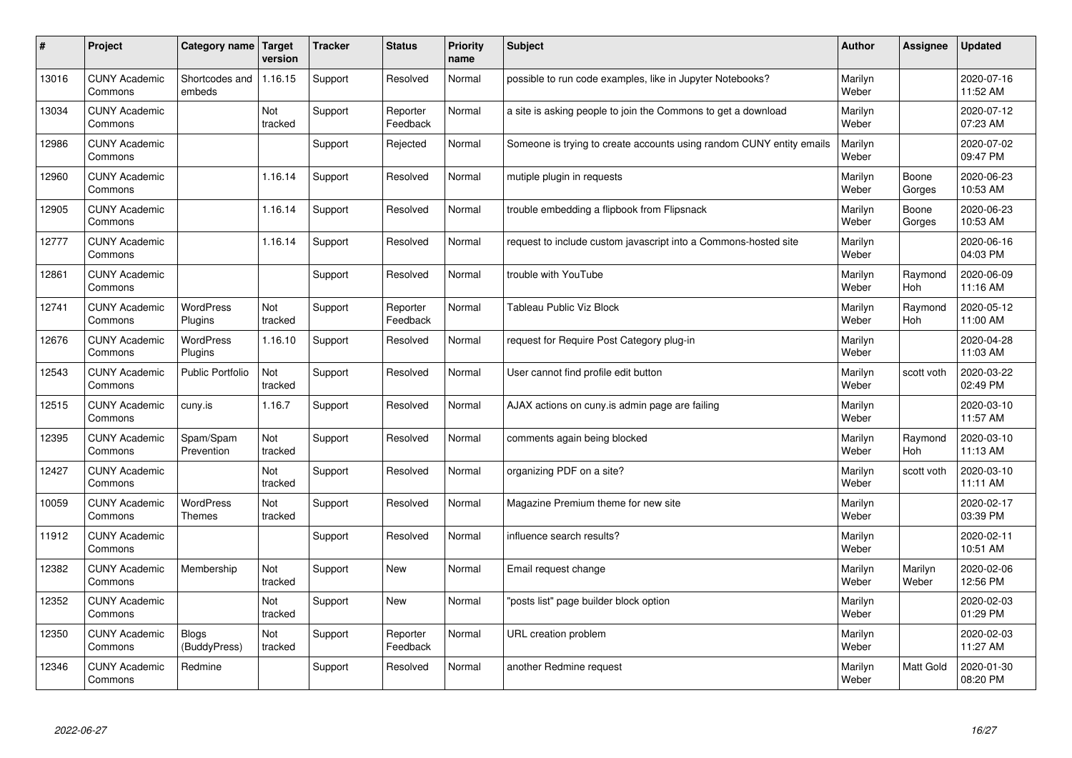| #     | Project                         | Category name                | Target<br>version | <b>Tracker</b> | <b>Status</b>        | <b>Priority</b><br>name | <b>Subject</b>                                                       | <b>Author</b>    | Assignee         | <b>Updated</b>         |
|-------|---------------------------------|------------------------------|-------------------|----------------|----------------------|-------------------------|----------------------------------------------------------------------|------------------|------------------|------------------------|
| 13016 | <b>CUNY Academic</b><br>Commons | Shortcodes and<br>embeds     | 1.16.15           | Support        | Resolved             | Normal                  | possible to run code examples, like in Jupyter Notebooks?            | Marilyn<br>Weber |                  | 2020-07-16<br>11:52 AM |
| 13034 | <b>CUNY Academic</b><br>Commons |                              | Not<br>tracked    | Support        | Reporter<br>Feedback | Normal                  | a site is asking people to join the Commons to get a download        | Marilyn<br>Weber |                  | 2020-07-12<br>07:23 AM |
| 12986 | <b>CUNY Academic</b><br>Commons |                              |                   | Support        | Rejected             | Normal                  | Someone is trying to create accounts using random CUNY entity emails | Marilyn<br>Weber |                  | 2020-07-02<br>09:47 PM |
| 12960 | <b>CUNY Academic</b><br>Commons |                              | 1.16.14           | Support        | Resolved             | Normal                  | mutiple plugin in requests                                           | Marilyn<br>Weber | Boone<br>Gorges  | 2020-06-23<br>10:53 AM |
| 12905 | <b>CUNY Academic</b><br>Commons |                              | 1.16.14           | Support        | Resolved             | Normal                  | trouble embedding a flipbook from Flipsnack                          | Marilyn<br>Weber | Boone<br>Gorges  | 2020-06-23<br>10:53 AM |
| 12777 | <b>CUNY Academic</b><br>Commons |                              | 1.16.14           | Support        | Resolved             | Normal                  | request to include custom javascript into a Commons-hosted site      | Marilyn<br>Weber |                  | 2020-06-16<br>04:03 PM |
| 12861 | <b>CUNY Academic</b><br>Commons |                              |                   | Support        | Resolved             | Normal                  | trouble with YouTube                                                 | Marilyn<br>Weber | Raymond<br>Hoh   | 2020-06-09<br>11:16 AM |
| 12741 | <b>CUNY Academic</b><br>Commons | <b>WordPress</b><br>Plugins  | Not<br>tracked    | Support        | Reporter<br>Feedback | Normal                  | <b>Tableau Public Viz Block</b>                                      | Marilyn<br>Weber | Raymond<br>Hoh   | 2020-05-12<br>11:00 AM |
| 12676 | <b>CUNY Academic</b><br>Commons | <b>WordPress</b><br>Plugins  | 1.16.10           | Support        | Resolved             | Normal                  | request for Require Post Category plug-in                            | Marilyn<br>Weber |                  | 2020-04-28<br>11:03 AM |
| 12543 | <b>CUNY Academic</b><br>Commons | <b>Public Portfolio</b>      | Not<br>tracked    | Support        | Resolved             | Normal                  | User cannot find profile edit button                                 | Marilyn<br>Weber | scott voth       | 2020-03-22<br>02:49 PM |
| 12515 | <b>CUNY Academic</b><br>Commons | cuny.is                      | 1.16.7            | Support        | Resolved             | Normal                  | AJAX actions on cuny is admin page are failing                       | Marilyn<br>Weber |                  | 2020-03-10<br>11:57 AM |
| 12395 | <b>CUNY Academic</b><br>Commons | Spam/Spam<br>Prevention      | Not<br>tracked    | Support        | Resolved             | Normal                  | comments again being blocked                                         | Marilyn<br>Weber | Raymond<br>Hoh   | 2020-03-10<br>11:13 AM |
| 12427 | <b>CUNY Academic</b><br>Commons |                              | Not<br>tracked    | Support        | Resolved             | Normal                  | organizing PDF on a site?                                            | Marilyn<br>Weber | scott voth       | 2020-03-10<br>11:11 AM |
| 10059 | <b>CUNY Academic</b><br>Commons | WordPress<br><b>Themes</b>   | Not<br>tracked    | Support        | Resolved             | Normal                  | Magazine Premium theme for new site                                  | Marilyn<br>Weber |                  | 2020-02-17<br>03:39 PM |
| 11912 | <b>CUNY Academic</b><br>Commons |                              |                   | Support        | Resolved             | Normal                  | influence search results?                                            | Marilyn<br>Weber |                  | 2020-02-11<br>10:51 AM |
| 12382 | <b>CUNY Academic</b><br>Commons | Membership                   | Not<br>tracked    | Support        | <b>New</b>           | Normal                  | Email request change                                                 | Marilyn<br>Weber | Marilyn<br>Weber | 2020-02-06<br>12:56 PM |
| 12352 | <b>CUNY Academic</b><br>Commons |                              | Not<br>tracked    | Support        | <b>New</b>           | Normal                  | 'posts list" page builder block option                               | Marilyn<br>Weber |                  | 2020-02-03<br>01:29 PM |
| 12350 | <b>CUNY Academic</b><br>Commons | <b>Blogs</b><br>(BuddyPress) | Not<br>tracked    | Support        | Reporter<br>Feedback | Normal                  | URL creation problem                                                 | Marilyn<br>Weber |                  | 2020-02-03<br>11:27 AM |
| 12346 | <b>CUNY Academic</b><br>Commons | Redmine                      |                   | Support        | Resolved             | Normal                  | another Redmine request                                              | Marilyn<br>Weber | <b>Matt Gold</b> | 2020-01-30<br>08:20 PM |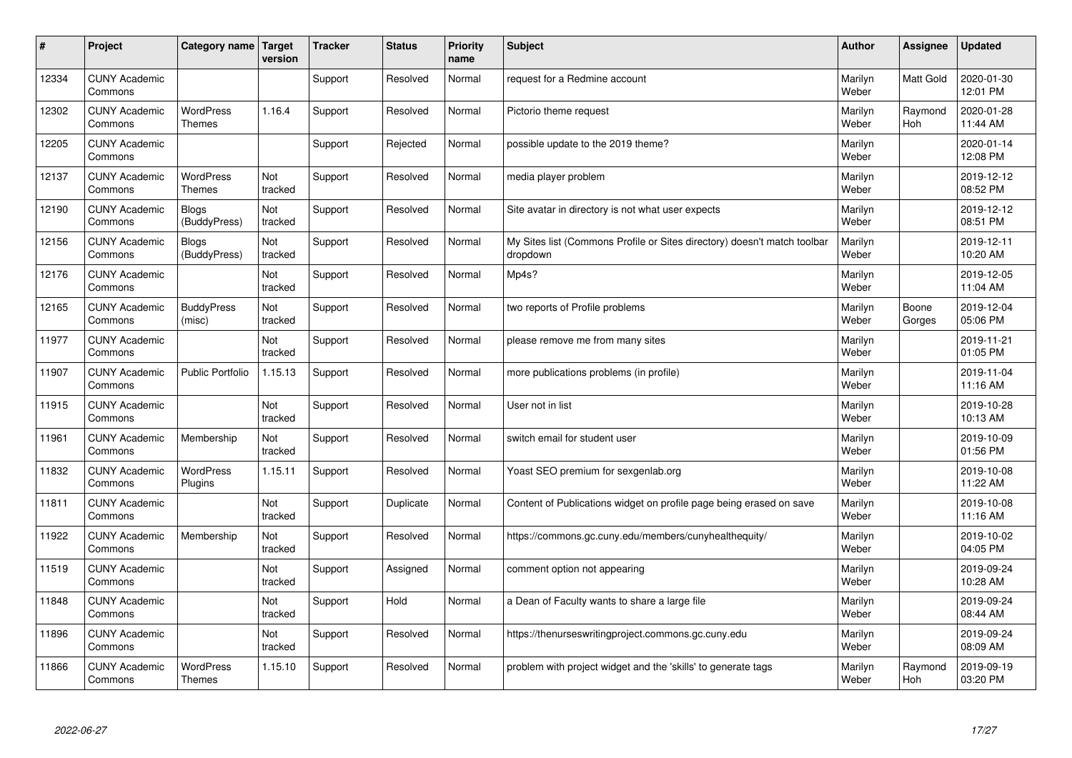| $\#$  | Project                         | Category name   Target            | version        | <b>Tracker</b> | <b>Status</b> | <b>Priority</b><br>name | <b>Subject</b>                                                                       | <b>Author</b>    | Assignee              | <b>Updated</b>         |
|-------|---------------------------------|-----------------------------------|----------------|----------------|---------------|-------------------------|--------------------------------------------------------------------------------------|------------------|-----------------------|------------------------|
| 12334 | <b>CUNY Academic</b><br>Commons |                                   |                | Support        | Resolved      | Normal                  | request for a Redmine account                                                        | Marilyn<br>Weber | <b>Matt Gold</b>      | 2020-01-30<br>12:01 PM |
| 12302 | <b>CUNY Academic</b><br>Commons | <b>WordPress</b><br><b>Themes</b> | 1.16.4         | Support        | Resolved      | Normal                  | Pictorio theme request                                                               | Marilyn<br>Weber | Raymond<br><b>Hoh</b> | 2020-01-28<br>11:44 AM |
| 12205 | <b>CUNY Academic</b><br>Commons |                                   |                | Support        | Rejected      | Normal                  | possible update to the 2019 theme?                                                   | Marilyn<br>Weber |                       | 2020-01-14<br>12:08 PM |
| 12137 | <b>CUNY Academic</b><br>Commons | <b>WordPress</b><br><b>Themes</b> | Not<br>tracked | Support        | Resolved      | Normal                  | media player problem                                                                 | Marilyn<br>Weber |                       | 2019-12-12<br>08:52 PM |
| 12190 | <b>CUNY Academic</b><br>Commons | <b>Blogs</b><br>(BuddyPress)      | Not<br>tracked | Support        | Resolved      | Normal                  | Site avatar in directory is not what user expects                                    | Marilyn<br>Weber |                       | 2019-12-12<br>08:51 PM |
| 12156 | <b>CUNY Academic</b><br>Commons | <b>Blogs</b><br>(BuddyPress)      | Not<br>tracked | Support        | Resolved      | Normal                  | My Sites list (Commons Profile or Sites directory) doesn't match toolbar<br>dropdown | Marilyn<br>Weber |                       | 2019-12-11<br>10:20 AM |
| 12176 | <b>CUNY Academic</b><br>Commons |                                   | Not<br>tracked | Support        | Resolved      | Normal                  | Mp4s?                                                                                | Marilyn<br>Weber |                       | 2019-12-05<br>11:04 AM |
| 12165 | <b>CUNY Academic</b><br>Commons | <b>BuddyPress</b><br>(misc)       | Not<br>tracked | Support        | Resolved      | Normal                  | two reports of Profile problems                                                      | Marilyn<br>Weber | Boone<br>Gorges       | 2019-12-04<br>05:06 PM |
| 11977 | <b>CUNY Academic</b><br>Commons |                                   | Not<br>tracked | Support        | Resolved      | Normal                  | please remove me from many sites                                                     | Marilyn<br>Weber |                       | 2019-11-21<br>01:05 PM |
| 11907 | <b>CUNY Academic</b><br>Commons | <b>Public Portfolio</b>           | 1.15.13        | Support        | Resolved      | Normal                  | more publications problems (in profile)                                              | Marilyn<br>Weber |                       | 2019-11-04<br>11:16 AM |
| 11915 | <b>CUNY Academic</b><br>Commons |                                   | Not<br>tracked | Support        | Resolved      | Normal                  | User not in list                                                                     | Marilyn<br>Weber |                       | 2019-10-28<br>10:13 AM |
| 11961 | <b>CUNY Academic</b><br>Commons | Membership                        | Not<br>tracked | Support        | Resolved      | Normal                  | switch email for student user                                                        | Marilyn<br>Weber |                       | 2019-10-09<br>01:56 PM |
| 11832 | <b>CUNY Academic</b><br>Commons | <b>WordPress</b><br>Plugins       | 1.15.11        | Support        | Resolved      | Normal                  | Yoast SEO premium for sexgenlab.org                                                  | Marilyn<br>Weber |                       | 2019-10-08<br>11:22 AM |
| 11811 | <b>CUNY Academic</b><br>Commons |                                   | Not<br>tracked | Support        | Duplicate     | Normal                  | Content of Publications widget on profile page being erased on save                  | Marilyn<br>Weber |                       | 2019-10-08<br>11:16 AM |
| 11922 | <b>CUNY Academic</b><br>Commons | Membership                        | Not<br>tracked | Support        | Resolved      | Normal                  | https://commons.gc.cuny.edu/members/cunyhealthequity/                                | Marilyn<br>Weber |                       | 2019-10-02<br>04:05 PM |
| 11519 | <b>CUNY Academic</b><br>Commons |                                   | Not<br>tracked | Support        | Assigned      | Normal                  | comment option not appearing                                                         | Marilyn<br>Weber |                       | 2019-09-24<br>10:28 AM |
| 11848 | <b>CUNY Academic</b><br>Commons |                                   | Not<br>tracked | Support        | Hold          | Normal                  | a Dean of Faculty wants to share a large file                                        | Marilyn<br>Weber |                       | 2019-09-24<br>08:44 AM |
| 11896 | <b>CUNY Academic</b><br>Commons |                                   | Not<br>tracked | Support        | Resolved      | Normal                  | https://thenurseswritingproject.commons.gc.cuny.edu                                  | Marilyn<br>Weber |                       | 2019-09-24<br>08:09 AM |
| 11866 | <b>CUNY Academic</b><br>Commons | <b>WordPress</b><br><b>Themes</b> | 1.15.10        | Support        | Resolved      | Normal                  | problem with project widget and the 'skills' to generate tags                        | Marilyn<br>Weber | Raymond<br>Hoh        | 2019-09-19<br>03:20 PM |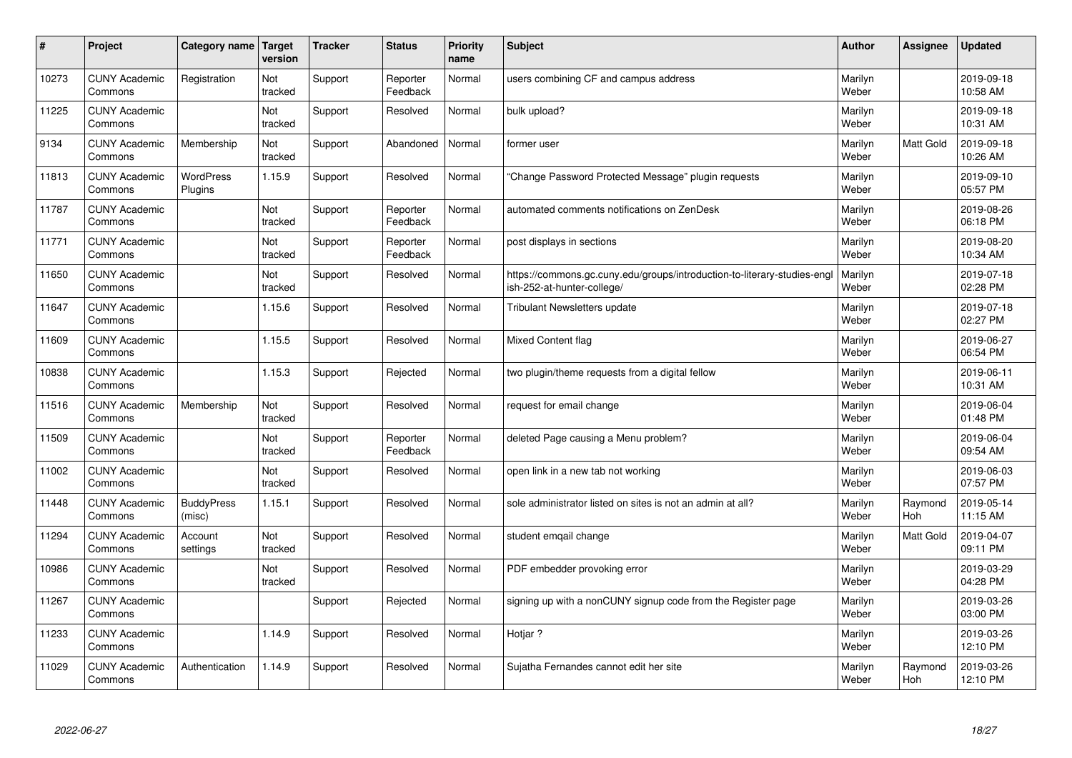| #     | Project                         | Category name               | Target<br>version | <b>Tracker</b> | <b>Status</b>        | <b>Priority</b><br>name | <b>Subject</b>                                                                                        | <b>Author</b>    | Assignee         | <b>Updated</b>         |
|-------|---------------------------------|-----------------------------|-------------------|----------------|----------------------|-------------------------|-------------------------------------------------------------------------------------------------------|------------------|------------------|------------------------|
| 10273 | <b>CUNY Academic</b><br>Commons | Registration                | Not<br>tracked    | Support        | Reporter<br>Feedback | Normal                  | users combining CF and campus address                                                                 | Marilyn<br>Weber |                  | 2019-09-18<br>10:58 AM |
| 11225 | <b>CUNY Academic</b><br>Commons |                             | Not<br>tracked    | Support        | Resolved             | Normal                  | bulk upload?                                                                                          | Marilyn<br>Weber |                  | 2019-09-18<br>10:31 AM |
| 9134  | <b>CUNY Academic</b><br>Commons | Membership                  | Not<br>tracked    | Support        | Abandoned            | Normal                  | former user                                                                                           | Marilyn<br>Weber | <b>Matt Gold</b> | 2019-09-18<br>10:26 AM |
| 11813 | <b>CUNY Academic</b><br>Commons | <b>WordPress</b><br>Plugins | 1.15.9            | Support        | Resolved             | Normal                  | 'Change Password Protected Message" plugin requests                                                   | Marilyn<br>Weber |                  | 2019-09-10<br>05:57 PM |
| 11787 | <b>CUNY Academic</b><br>Commons |                             | Not<br>tracked    | Support        | Reporter<br>Feedback | Normal                  | automated comments notifications on ZenDesk                                                           | Marilyn<br>Weber |                  | 2019-08-26<br>06:18 PM |
| 11771 | <b>CUNY Academic</b><br>Commons |                             | Not<br>tracked    | Support        | Reporter<br>Feedback | Normal                  | post displays in sections                                                                             | Marilyn<br>Weber |                  | 2019-08-20<br>10:34 AM |
| 11650 | <b>CUNY Academic</b><br>Commons |                             | Not<br>tracked    | Support        | Resolved             | Normal                  | https://commons.gc.cuny.edu/groups/introduction-to-literary-studies-eng<br>ish-252-at-hunter-college/ | Marilyn<br>Weber |                  | 2019-07-18<br>02:28 PM |
| 11647 | <b>CUNY Academic</b><br>Commons |                             | 1.15.6            | Support        | Resolved             | Normal                  | <b>Tribulant Newsletters update</b>                                                                   | Marilyn<br>Weber |                  | 2019-07-18<br>02:27 PM |
| 11609 | <b>CUNY Academic</b><br>Commons |                             | 1.15.5            | Support        | Resolved             | Normal                  | <b>Mixed Content flag</b>                                                                             | Marilyn<br>Weber |                  | 2019-06-27<br>06:54 PM |
| 10838 | <b>CUNY Academic</b><br>Commons |                             | 1.15.3            | Support        | Rejected             | Normal                  | two plugin/theme requests from a digital fellow                                                       | Marilyn<br>Weber |                  | 2019-06-11<br>10:31 AM |
| 11516 | <b>CUNY Academic</b><br>Commons | Membership                  | Not<br>tracked    | Support        | Resolved             | Normal                  | request for email change                                                                              | Marilyn<br>Weber |                  | 2019-06-04<br>01:48 PM |
| 11509 | <b>CUNY Academic</b><br>Commons |                             | Not<br>tracked    | Support        | Reporter<br>Feedback | Normal                  | deleted Page causing a Menu problem?                                                                  | Marilyn<br>Weber |                  | 2019-06-04<br>09:54 AM |
| 11002 | <b>CUNY Academic</b><br>Commons |                             | Not<br>tracked    | Support        | Resolved             | Normal                  | open link in a new tab not working                                                                    | Marilyn<br>Weber |                  | 2019-06-03<br>07:57 PM |
| 11448 | <b>CUNY Academic</b><br>Commons | <b>BuddyPress</b><br>(misc) | 1.15.1            | Support        | Resolved             | Normal                  | sole administrator listed on sites is not an admin at all?                                            | Marilyn<br>Weber | Raymond<br>Hoh   | 2019-05-14<br>11:15 AM |
| 11294 | <b>CUNY Academic</b><br>Commons | Account<br>settings         | Not<br>tracked    | Support        | Resolved             | Normal                  | student emqail change                                                                                 | Marilyn<br>Weber | <b>Matt Gold</b> | 2019-04-07<br>09:11 PM |
| 10986 | <b>CUNY Academic</b><br>Commons |                             | Not<br>tracked    | Support        | Resolved             | Normal                  | PDF embedder provoking error                                                                          | Marilyn<br>Weber |                  | 2019-03-29<br>04:28 PM |
| 11267 | <b>CUNY Academic</b><br>Commons |                             |                   | Support        | Rejected             | Normal                  | signing up with a nonCUNY signup code from the Register page                                          | Marilyn<br>Weber |                  | 2019-03-26<br>03:00 PM |
| 11233 | <b>CUNY Academic</b><br>Commons |                             | 1.14.9            | Support        | Resolved             | Normal                  | Hotjar ?                                                                                              | Marilyn<br>Weber |                  | 2019-03-26<br>12:10 PM |
| 11029 | <b>CUNY Academic</b><br>Commons | Authentication              | 1.14.9            | Support        | Resolved             | Normal                  | Sujatha Fernandes cannot edit her site                                                                | Marilyn<br>Weber | Raymond<br>Hoh   | 2019-03-26<br>12:10 PM |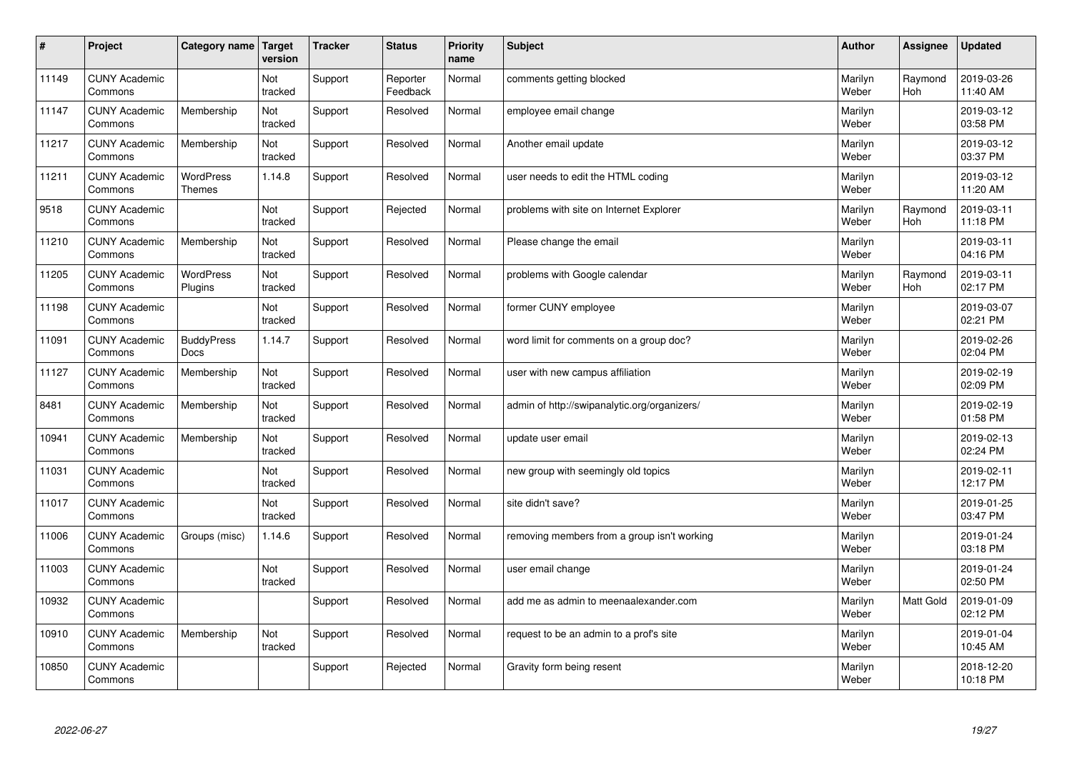| $\vert$ # | Project                         | Category name                     | Target<br>version | <b>Tracker</b> | <b>Status</b>        | <b>Priority</b><br>name | <b>Subject</b>                               | <b>Author</b>    | Assignee              | <b>Updated</b>         |
|-----------|---------------------------------|-----------------------------------|-------------------|----------------|----------------------|-------------------------|----------------------------------------------|------------------|-----------------------|------------------------|
| 11149     | <b>CUNY Academic</b><br>Commons |                                   | Not<br>tracked    | Support        | Reporter<br>Feedback | Normal                  | comments getting blocked                     | Marilyn<br>Weber | Raymond<br><b>Hoh</b> | 2019-03-26<br>11:40 AM |
| 11147     | <b>CUNY Academic</b><br>Commons | Membership                        | Not<br>tracked    | Support        | Resolved             | Normal                  | employee email change                        | Marilyn<br>Weber |                       | 2019-03-12<br>03:58 PM |
| 11217     | <b>CUNY Academic</b><br>Commons | Membership                        | Not<br>tracked    | Support        | Resolved             | Normal                  | Another email update                         | Marilyn<br>Weber |                       | 2019-03-12<br>03:37 PM |
| 11211     | <b>CUNY Academic</b><br>Commons | <b>WordPress</b><br><b>Themes</b> | 1.14.8            | Support        | Resolved             | Normal                  | user needs to edit the HTML coding           | Marilyn<br>Weber |                       | 2019-03-12<br>11:20 AM |
| 9518      | <b>CUNY Academic</b><br>Commons |                                   | Not<br>tracked    | Support        | Rejected             | Normal                  | problems with site on Internet Explorer      | Marilyn<br>Weber | Raymond<br>Hoh        | 2019-03-11<br>11:18 PM |
| 11210     | <b>CUNY Academic</b><br>Commons | Membership                        | Not<br>tracked    | Support        | Resolved             | Normal                  | Please change the email                      | Marilyn<br>Weber |                       | 2019-03-11<br>04:16 PM |
| 11205     | <b>CUNY Academic</b><br>Commons | WordPress<br>Plugins              | Not<br>tracked    | Support        | Resolved             | Normal                  | problems with Google calendar                | Marilyn<br>Weber | Raymond<br>Hoh        | 2019-03-11<br>02:17 PM |
| 11198     | <b>CUNY Academic</b><br>Commons |                                   | Not<br>tracked    | Support        | Resolved             | Normal                  | former CUNY employee                         | Marilyn<br>Weber |                       | 2019-03-07<br>02:21 PM |
| 11091     | <b>CUNY Academic</b><br>Commons | <b>BuddyPress</b><br><b>Docs</b>  | 1.14.7            | Support        | Resolved             | Normal                  | word limit for comments on a group doc?      | Marilyn<br>Weber |                       | 2019-02-26<br>02:04 PM |
| 11127     | <b>CUNY Academic</b><br>Commons | Membership                        | Not<br>tracked    | Support        | Resolved             | Normal                  | user with new campus affiliation             | Marilyn<br>Weber |                       | 2019-02-19<br>02:09 PM |
| 8481      | <b>CUNY Academic</b><br>Commons | Membership                        | Not<br>tracked    | Support        | Resolved             | Normal                  | admin of http://swipanalytic.org/organizers/ | Marilyn<br>Weber |                       | 2019-02-19<br>01:58 PM |
| 10941     | <b>CUNY Academic</b><br>Commons | Membership                        | Not<br>tracked    | Support        | Resolved             | Normal                  | update user email                            | Marilyn<br>Weber |                       | 2019-02-13<br>02:24 PM |
| 11031     | <b>CUNY Academic</b><br>Commons |                                   | Not<br>tracked    | Support        | Resolved             | Normal                  | new group with seemingly old topics          | Marilyn<br>Weber |                       | 2019-02-11<br>12:17 PM |
| 11017     | <b>CUNY Academic</b><br>Commons |                                   | Not<br>tracked    | Support        | Resolved             | Normal                  | site didn't save?                            | Marilyn<br>Weber |                       | 2019-01-25<br>03:47 PM |
| 11006     | <b>CUNY Academic</b><br>Commons | Groups (misc)                     | 1.14.6            | Support        | Resolved             | Normal                  | removing members from a group isn't working  | Marilyn<br>Weber |                       | 2019-01-24<br>03:18 PM |
| 11003     | <b>CUNY Academic</b><br>Commons |                                   | Not<br>tracked    | Support        | Resolved             | Normal                  | user email change                            | Marilyn<br>Weber |                       | 2019-01-24<br>02:50 PM |
| 10932     | <b>CUNY Academic</b><br>Commons |                                   |                   | Support        | Resolved             | Normal                  | add me as admin to meenaalexander.com        | Marilyn<br>Weber | Matt Gold             | 2019-01-09<br>02:12 PM |
| 10910     | <b>CUNY Academic</b><br>Commons | Membership                        | Not<br>tracked    | Support        | Resolved             | Normal                  | request to be an admin to a prof's site      | Marilyn<br>Weber |                       | 2019-01-04<br>10:45 AM |
| 10850     | <b>CUNY Academic</b><br>Commons |                                   |                   | Support        | Rejected             | Normal                  | Gravity form being resent                    | Marilyn<br>Weber |                       | 2018-12-20<br>10:18 PM |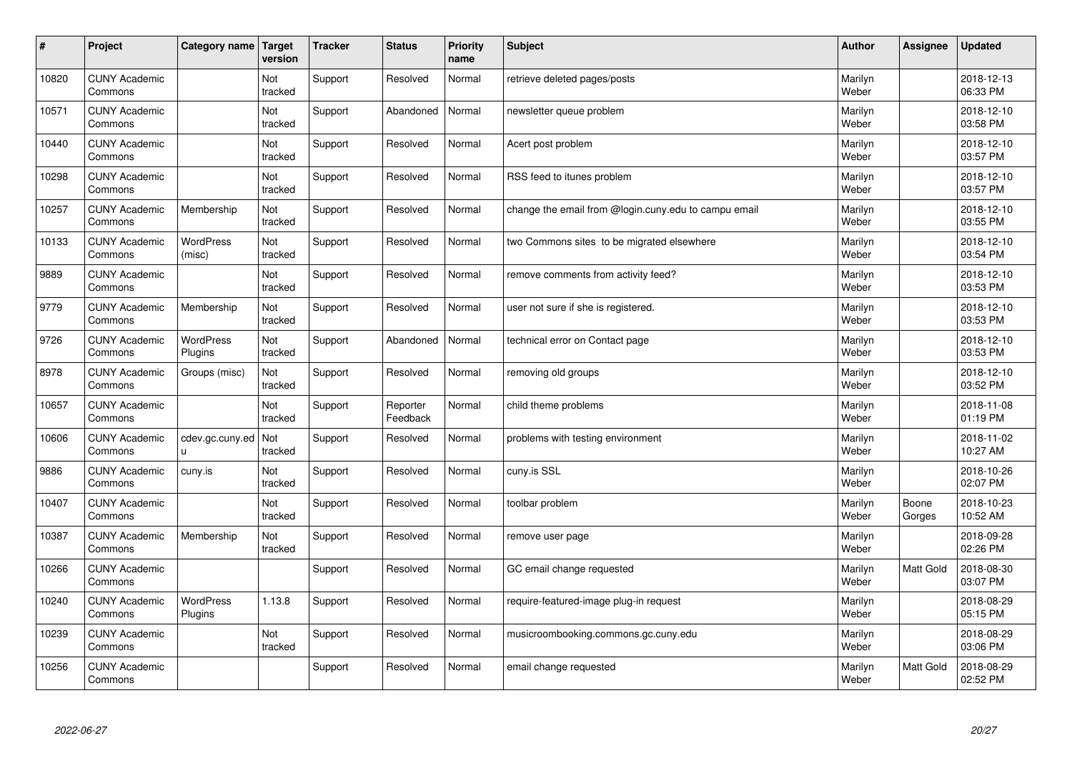| $\sharp$ | Project                         | Category name               | Target<br>version | <b>Tracker</b> | <b>Status</b>        | <b>Priority</b><br>name | <b>Subject</b>                                       | <b>Author</b>    | Assignee        | <b>Updated</b>         |
|----------|---------------------------------|-----------------------------|-------------------|----------------|----------------------|-------------------------|------------------------------------------------------|------------------|-----------------|------------------------|
| 10820    | <b>CUNY Academic</b><br>Commons |                             | Not<br>tracked    | Support        | Resolved             | Normal                  | retrieve deleted pages/posts                         | Marilyn<br>Weber |                 | 2018-12-13<br>06:33 PM |
| 10571    | <b>CUNY Academic</b><br>Commons |                             | Not<br>tracked    | Support        | Abandoned            | Normal                  | newsletter queue problem                             | Marilyn<br>Weber |                 | 2018-12-10<br>03:58 PM |
| 10440    | <b>CUNY Academic</b><br>Commons |                             | Not<br>tracked    | Support        | Resolved             | Normal                  | Acert post problem                                   | Marilyn<br>Weber |                 | 2018-12-10<br>03:57 PM |
| 10298    | <b>CUNY Academic</b><br>Commons |                             | Not<br>tracked    | Support        | Resolved             | Normal                  | RSS feed to itunes problem                           | Marilyn<br>Weber |                 | 2018-12-10<br>03:57 PM |
| 10257    | <b>CUNY Academic</b><br>Commons | Membership                  | Not<br>tracked    | Support        | Resolved             | Normal                  | change the email from @login.cuny.edu to campu email | Marilyn<br>Weber |                 | 2018-12-10<br>03:55 PM |
| 10133    | <b>CUNY Academic</b><br>Commons | <b>WordPress</b><br>(misc)  | Not<br>tracked    | Support        | Resolved             | Normal                  | two Commons sites to be migrated elsewhere           | Marilyn<br>Weber |                 | 2018-12-10<br>03:54 PM |
| 9889     | <b>CUNY Academic</b><br>Commons |                             | Not<br>tracked    | Support        | Resolved             | Normal                  | remove comments from activity feed?                  | Marilyn<br>Weber |                 | 2018-12-10<br>03:53 PM |
| 9779     | <b>CUNY Academic</b><br>Commons | Membership                  | Not<br>tracked    | Support        | Resolved             | Normal                  | user not sure if she is registered.                  | Marilyn<br>Weber |                 | 2018-12-10<br>03:53 PM |
| 9726     | <b>CUNY Academic</b><br>Commons | <b>WordPress</b><br>Plugins | Not<br>tracked    | Support        | Abandoned            | Normal                  | technical error on Contact page                      | Marilyn<br>Weber |                 | 2018-12-10<br>03:53 PM |
| 8978     | <b>CUNY Academic</b><br>Commons | Groups (misc)               | Not<br>tracked    | Support        | Resolved             | Normal                  | removing old groups                                  | Marilyn<br>Weber |                 | 2018-12-10<br>03:52 PM |
| 10657    | <b>CUNY Academic</b><br>Commons |                             | Not<br>tracked    | Support        | Reporter<br>Feedback | Normal                  | child theme problems                                 | Marilyn<br>Weber |                 | 2018-11-08<br>01:19 PM |
| 10606    | <b>CUNY Academic</b><br>Commons | cdev.gc.cuny.ed<br>u.       | Not<br>tracked    | Support        | Resolved             | Normal                  | problems with testing environment                    | Marilyn<br>Weber |                 | 2018-11-02<br>10:27 AM |
| 9886     | <b>CUNY Academic</b><br>Commons | cuny.is                     | Not<br>tracked    | Support        | Resolved             | Normal                  | cuny.is SSL                                          | Marilyn<br>Weber |                 | 2018-10-26<br>02:07 PM |
| 10407    | <b>CUNY Academic</b><br>Commons |                             | Not<br>tracked    | Support        | Resolved             | Normal                  | toolbar problem                                      | Marilyn<br>Weber | Boone<br>Gorges | 2018-10-23<br>10:52 AM |
| 10387    | <b>CUNY Academic</b><br>Commons | Membership                  | Not<br>tracked    | Support        | Resolved             | Normal                  | remove user page                                     | Marilyn<br>Weber |                 | 2018-09-28<br>02:26 PM |
| 10266    | <b>CUNY Academic</b><br>Commons |                             |                   | Support        | Resolved             | Normal                  | GC email change requested                            | Marilyn<br>Weber | Matt Gold       | 2018-08-30<br>03:07 PM |
| 10240    | <b>CUNY Academic</b><br>Commons | WordPress<br>Plugins        | 1.13.8            | Support        | Resolved             | Normal                  | require-featured-image plug-in request               | Marilyn<br>Weber |                 | 2018-08-29<br>05:15 PM |
| 10239    | <b>CUNY Academic</b><br>Commons |                             | Not<br>tracked    | Support        | Resolved             | Normal                  | musicroombooking.commons.gc.cuny.edu                 | Marilyn<br>Weber |                 | 2018-08-29<br>03:06 PM |
| 10256    | <b>CUNY Academic</b><br>Commons |                             |                   | Support        | Resolved             | Normal                  | email change requested                               | Marilyn<br>Weber | Matt Gold       | 2018-08-29<br>02:52 PM |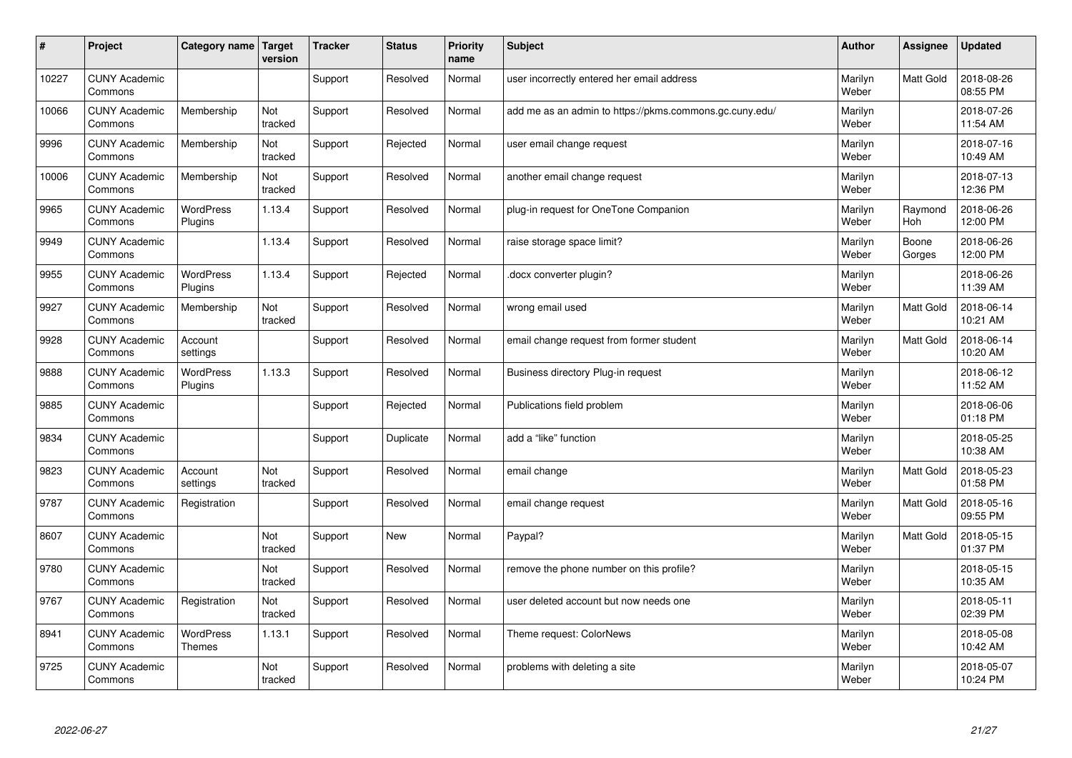| #     | Project                         | Category name   Target      | version        | <b>Tracker</b> | <b>Status</b> | <b>Priority</b><br>name | <b>Subject</b>                                          | <b>Author</b>    | Assignee         | <b>Updated</b>         |
|-------|---------------------------------|-----------------------------|----------------|----------------|---------------|-------------------------|---------------------------------------------------------|------------------|------------------|------------------------|
| 10227 | <b>CUNY Academic</b><br>Commons |                             |                | Support        | Resolved      | Normal                  | user incorrectly entered her email address              | Marilyn<br>Weber | Matt Gold        | 2018-08-26<br>08:55 PM |
| 10066 | <b>CUNY Academic</b><br>Commons | Membership                  | Not<br>tracked | Support        | Resolved      | Normal                  | add me as an admin to https://pkms.commons.gc.cuny.edu/ | Marilyn<br>Weber |                  | 2018-07-26<br>11:54 AM |
| 9996  | <b>CUNY Academic</b><br>Commons | Membership                  | Not<br>tracked | Support        | Rejected      | Normal                  | user email change request                               | Marilyn<br>Weber |                  | 2018-07-16<br>10:49 AM |
| 10006 | <b>CUNY Academic</b><br>Commons | Membership                  | Not<br>tracked | Support        | Resolved      | Normal                  | another email change request                            | Marilyn<br>Weber |                  | 2018-07-13<br>12:36 PM |
| 9965  | <b>CUNY Academic</b><br>Commons | <b>WordPress</b><br>Plugins | 1.13.4         | Support        | Resolved      | Normal                  | plug-in request for OneTone Companion                   | Marilyn<br>Weber | Raymond<br>Hoh   | 2018-06-26<br>12:00 PM |
| 9949  | <b>CUNY Academic</b><br>Commons |                             | 1.13.4         | Support        | Resolved      | Normal                  | raise storage space limit?                              | Marilyn<br>Weber | Boone<br>Gorges  | 2018-06-26<br>12:00 PM |
| 9955  | <b>CUNY Academic</b><br>Commons | <b>WordPress</b><br>Plugins | 1.13.4         | Support        | Rejected      | Normal                  | docx converter plugin?                                  | Marilyn<br>Weber |                  | 2018-06-26<br>11:39 AM |
| 9927  | <b>CUNY Academic</b><br>Commons | Membership                  | Not<br>tracked | Support        | Resolved      | Normal                  | wrong email used                                        | Marilyn<br>Weber | Matt Gold        | 2018-06-14<br>10:21 AM |
| 9928  | <b>CUNY Academic</b><br>Commons | Account<br>settings         |                | Support        | Resolved      | Normal                  | email change request from former student                | Marilyn<br>Weber | <b>Matt Gold</b> | 2018-06-14<br>10:20 AM |
| 9888  | <b>CUNY Academic</b><br>Commons | <b>WordPress</b><br>Plugins | 1.13.3         | Support        | Resolved      | Normal                  | Business directory Plug-in request                      | Marilyn<br>Weber |                  | 2018-06-12<br>11:52 AM |
| 9885  | <b>CUNY Academic</b><br>Commons |                             |                | Support        | Rejected      | Normal                  | Publications field problem                              | Marilyn<br>Weber |                  | 2018-06-06<br>01:18 PM |
| 9834  | <b>CUNY Academic</b><br>Commons |                             |                | Support        | Duplicate     | Normal                  | add a "like" function                                   | Marilyn<br>Weber |                  | 2018-05-25<br>10:38 AM |
| 9823  | <b>CUNY Academic</b><br>Commons | Account<br>settings         | Not<br>tracked | Support        | Resolved      | Normal                  | email change                                            | Marilyn<br>Weber | <b>Matt Gold</b> | 2018-05-23<br>01:58 PM |
| 9787  | <b>CUNY Academic</b><br>Commons | Registration                |                | Support        | Resolved      | Normal                  | email change request                                    | Marilyn<br>Weber | <b>Matt Gold</b> | 2018-05-16<br>09:55 PM |
| 8607  | <b>CUNY Academic</b><br>Commons |                             | Not<br>tracked | Support        | <b>New</b>    | Normal                  | Paypal?                                                 | Marilyn<br>Weber | Matt Gold        | 2018-05-15<br>01:37 PM |
| 9780  | <b>CUNY Academic</b><br>Commons |                             | Not<br>tracked | Support        | Resolved      | Normal                  | remove the phone number on this profile?                | Marilyn<br>Weber |                  | 2018-05-15<br>10:35 AM |
| 9767  | <b>CUNY Academic</b><br>Commons | Registration                | Not<br>tracked | Support        | Resolved      | Normal                  | user deleted account but now needs one                  | Marilyn<br>Weber |                  | 2018-05-11<br>02:39 PM |
| 8941  | <b>CUNY Academic</b><br>Commons | WordPress<br><b>Themes</b>  | 1.13.1         | Support        | Resolved      | Normal                  | Theme request: ColorNews                                | Marilyn<br>Weber |                  | 2018-05-08<br>10:42 AM |
| 9725  | <b>CUNY Academic</b><br>Commons |                             | Not<br>tracked | Support        | Resolved      | Normal                  | problems with deleting a site                           | Marilyn<br>Weber |                  | 2018-05-07<br>10:24 PM |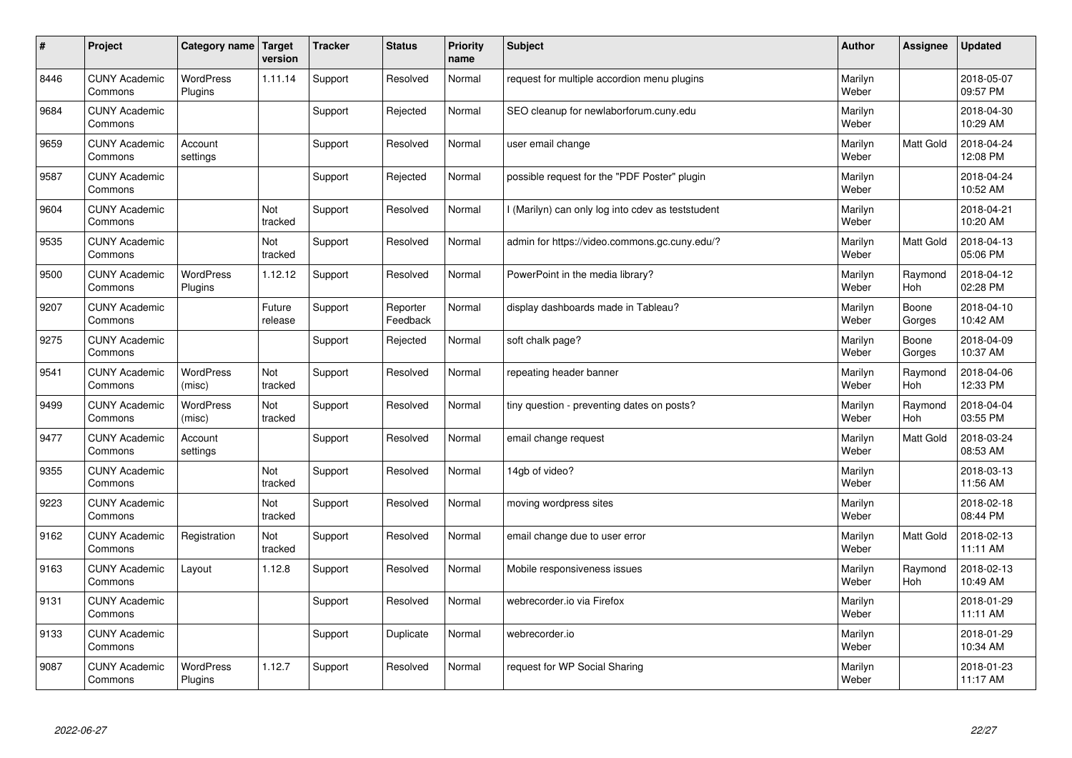| $\pmb{\sharp}$ | Project                         | Category name               | Target<br>version | <b>Tracker</b> | <b>Status</b>        | <b>Priority</b><br>name | <b>Subject</b>                                    | <b>Author</b>    | Assignee              | <b>Updated</b>         |
|----------------|---------------------------------|-----------------------------|-------------------|----------------|----------------------|-------------------------|---------------------------------------------------|------------------|-----------------------|------------------------|
| 8446           | <b>CUNY Academic</b><br>Commons | <b>WordPress</b><br>Plugins | 1.11.14           | Support        | Resolved             | Normal                  | request for multiple accordion menu plugins       | Marilyn<br>Weber |                       | 2018-05-07<br>09:57 PM |
| 9684           | <b>CUNY Academic</b><br>Commons |                             |                   | Support        | Rejected             | Normal                  | SEO cleanup for newlaborforum.cuny.edu            | Marilyn<br>Weber |                       | 2018-04-30<br>10:29 AM |
| 9659           | <b>CUNY Academic</b><br>Commons | Account<br>settings         |                   | Support        | Resolved             | Normal                  | user email change                                 | Marilyn<br>Weber | <b>Matt Gold</b>      | 2018-04-24<br>12:08 PM |
| 9587           | <b>CUNY Academic</b><br>Commons |                             |                   | Support        | Rejected             | Normal                  | possible request for the "PDF Poster" plugin      | Marilyn<br>Weber |                       | 2018-04-24<br>10:52 AM |
| 9604           | <b>CUNY Academic</b><br>Commons |                             | Not<br>tracked    | Support        | Resolved             | Normal                  | I (Marilyn) can only log into cdev as teststudent | Marilyn<br>Weber |                       | 2018-04-21<br>10:20 AM |
| 9535           | <b>CUNY Academic</b><br>Commons |                             | Not<br>tracked    | Support        | Resolved             | Normal                  | admin for https://video.commons.gc.cuny.edu/?     | Marilyn<br>Weber | Matt Gold             | 2018-04-13<br>05:06 PM |
| 9500           | <b>CUNY Academic</b><br>Commons | <b>WordPress</b><br>Plugins | 1.12.12           | Support        | Resolved             | Normal                  | PowerPoint in the media library?                  | Marilyn<br>Weber | Raymond<br>Hoh        | 2018-04-12<br>02:28 PM |
| 9207           | <b>CUNY Academic</b><br>Commons |                             | Future<br>release | Support        | Reporter<br>Feedback | Normal                  | display dashboards made in Tableau?               | Marilyn<br>Weber | Boone<br>Gorges       | 2018-04-10<br>10:42 AM |
| 9275           | <b>CUNY Academic</b><br>Commons |                             |                   | Support        | Rejected             | Normal                  | soft chalk page?                                  | Marilyn<br>Weber | Boone<br>Gorges       | 2018-04-09<br>10:37 AM |
| 9541           | <b>CUNY Academic</b><br>Commons | WordPress<br>(misc)         | Not<br>tracked    | Support        | Resolved             | Normal                  | repeating header banner                           | Marilyn<br>Weber | Raymond<br>Hoh        | 2018-04-06<br>12:33 PM |
| 9499           | <b>CUNY Academic</b><br>Commons | WordPress<br>(misc)         | Not<br>tracked    | Support        | Resolved             | Normal                  | tiny question - preventing dates on posts?        | Marilyn<br>Weber | Raymond<br>Hoh        | 2018-04-04<br>03:55 PM |
| 9477           | <b>CUNY Academic</b><br>Commons | Account<br>settings         |                   | Support        | Resolved             | Normal                  | email change request                              | Marilyn<br>Weber | Matt Gold             | 2018-03-24<br>08:53 AM |
| 9355           | <b>CUNY Academic</b><br>Commons |                             | Not<br>tracked    | Support        | Resolved             | Normal                  | 14gb of video?                                    | Marilyn<br>Weber |                       | 2018-03-13<br>11:56 AM |
| 9223           | <b>CUNY Academic</b><br>Commons |                             | Not<br>tracked    | Support        | Resolved             | Normal                  | moving wordpress sites                            | Marilyn<br>Weber |                       | 2018-02-18<br>08:44 PM |
| 9162           | <b>CUNY Academic</b><br>Commons | Registration                | Not<br>tracked    | Support        | Resolved             | Normal                  | email change due to user error                    | Marilyn<br>Weber | Matt Gold             | 2018-02-13<br>11:11 AM |
| 9163           | <b>CUNY Academic</b><br>Commons | Layout                      | 1.12.8            | Support        | Resolved             | Normal                  | Mobile responsiveness issues                      | Marilyn<br>Weber | Raymond<br><b>Hoh</b> | 2018-02-13<br>10:49 AM |
| 9131           | <b>CUNY Academic</b><br>Commons |                             |                   | Support        | Resolved             | Normal                  | webrecorder.io via Firefox                        | Marilyn<br>Weber |                       | 2018-01-29<br>11:11 AM |
| 9133           | <b>CUNY Academic</b><br>Commons |                             |                   | Support        | Duplicate            | Normal                  | webrecorder.io                                    | Marilyn<br>Weber |                       | 2018-01-29<br>10:34 AM |
| 9087           | <b>CUNY Academic</b><br>Commons | <b>WordPress</b><br>Plugins | 1.12.7            | Support        | Resolved             | Normal                  | request for WP Social Sharing                     | Marilyn<br>Weber |                       | 2018-01-23<br>11:17 AM |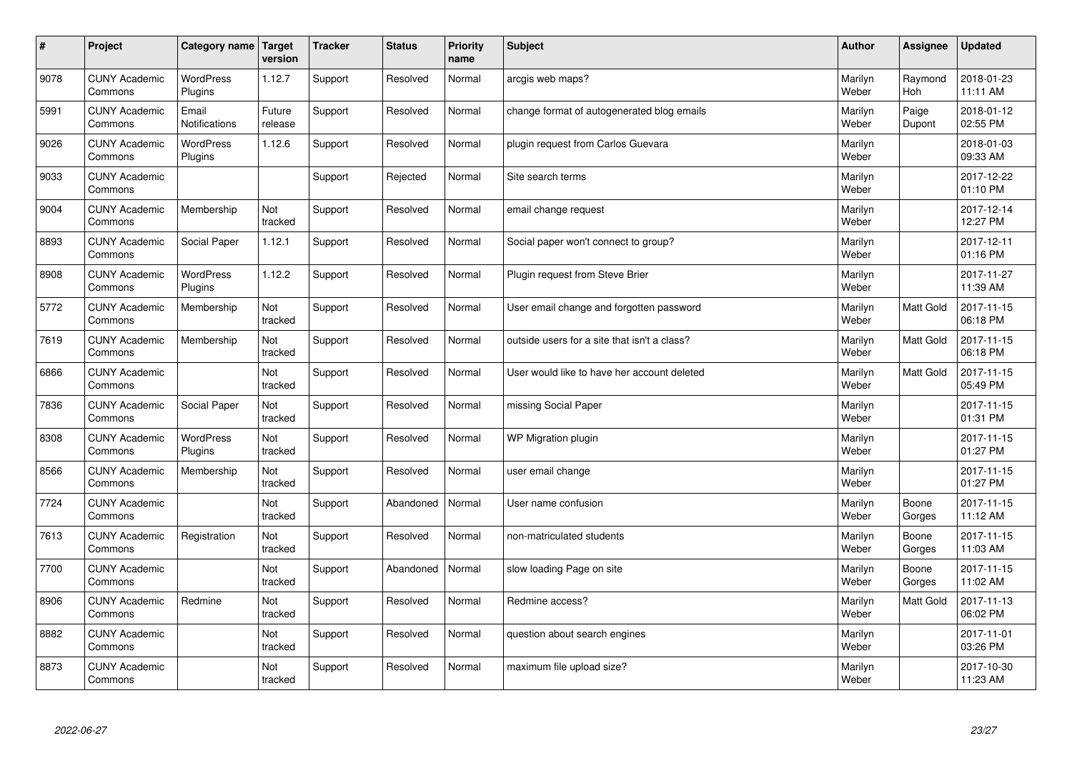| #    | Project                         | Category name   Target      | version           | <b>Tracker</b> | <b>Status</b> | Priority<br>name | <b>Subject</b>                               | <b>Author</b>    | <b>Assignee</b>  | <b>Updated</b>         |
|------|---------------------------------|-----------------------------|-------------------|----------------|---------------|------------------|----------------------------------------------|------------------|------------------|------------------------|
| 9078 | <b>CUNY Academic</b><br>Commons | <b>WordPress</b><br>Plugins | 1.12.7            | Support        | Resolved      | Normal           | arcgis web maps?                             | Marilyn<br>Weber | Raymond<br>Hoh   | 2018-01-23<br>11:11 AM |
| 5991 | <b>CUNY Academic</b><br>Commons | Email<br>Notifications      | Future<br>release | Support        | Resolved      | Normal           | change format of autogenerated blog emails   | Marilyn<br>Weber | Paige<br>Dupont  | 2018-01-12<br>02:55 PM |
| 9026 | <b>CUNY Academic</b><br>Commons | <b>WordPress</b><br>Plugins | 1.12.6            | Support        | Resolved      | Normal           | plugin request from Carlos Guevara           | Marilyn<br>Weber |                  | 2018-01-03<br>09:33 AM |
| 9033 | <b>CUNY Academic</b><br>Commons |                             |                   | Support        | Rejected      | Normal           | Site search terms                            | Marilyn<br>Weber |                  | 2017-12-22<br>01:10 PM |
| 9004 | <b>CUNY Academic</b><br>Commons | Membership                  | Not<br>tracked    | Support        | Resolved      | Normal           | email change request                         | Marilyn<br>Weber |                  | 2017-12-14<br>12:27 PM |
| 8893 | <b>CUNY Academic</b><br>Commons | Social Paper                | 1.12.1            | Support        | Resolved      | Normal           | Social paper won't connect to group?         | Marilyn<br>Weber |                  | 2017-12-11<br>01:16 PM |
| 8908 | <b>CUNY Academic</b><br>Commons | <b>WordPress</b><br>Plugins | 1.12.2            | Support        | Resolved      | Normal           | Plugin request from Steve Brier              | Marilyn<br>Weber |                  | 2017-11-27<br>11:39 AM |
| 5772 | <b>CUNY Academic</b><br>Commons | Membership                  | Not<br>tracked    | Support        | Resolved      | Normal           | User email change and forgotten password     | Marilyn<br>Weber | Matt Gold        | 2017-11-15<br>06:18 PM |
| 7619 | <b>CUNY Academic</b><br>Commons | Membership                  | Not<br>tracked    | Support        | Resolved      | Normal           | outside users for a site that isn't a class? | Marilyn<br>Weber | <b>Matt Gold</b> | 2017-11-15<br>06:18 PM |
| 6866 | <b>CUNY Academic</b><br>Commons |                             | Not<br>tracked    | Support        | Resolved      | Normal           | User would like to have her account deleted  | Marilyn<br>Weber | <b>Matt Gold</b> | 2017-11-15<br>05:49 PM |
| 7836 | <b>CUNY Academic</b><br>Commons | Social Paper                | Not<br>tracked    | Support        | Resolved      | Normal           | missing Social Paper                         | Marilyn<br>Weber |                  | 2017-11-15<br>01:31 PM |
| 8308 | <b>CUNY Academic</b><br>Commons | WordPress<br>Plugins        | Not<br>tracked    | Support        | Resolved      | Normal           | WP Migration plugin                          | Marilyn<br>Weber |                  | 2017-11-15<br>01:27 PM |
| 8566 | <b>CUNY Academic</b><br>Commons | Membership                  | Not<br>tracked    | Support        | Resolved      | Normal           | user email change                            | Marilyn<br>Weber |                  | 2017-11-15<br>01:27 PM |
| 7724 | <b>CUNY Academic</b><br>Commons |                             | Not<br>tracked    | Support        | Abandoned     | Normal           | User name confusion                          | Marilyn<br>Weber | Boone<br>Gorges  | 2017-11-15<br>11:12 AM |
| 7613 | <b>CUNY Academic</b><br>Commons | Registration                | Not<br>tracked    | Support        | Resolved      | Normal           | non-matriculated students                    | Marilyn<br>Weber | Boone<br>Gorges  | 2017-11-15<br>11:03 AM |
| 7700 | <b>CUNY Academic</b><br>Commons |                             | Not<br>tracked    | Support        | Abandoned     | Normal           | slow loading Page on site                    | Marilyn<br>Weber | Boone<br>Gorges  | 2017-11-15<br>11:02 AM |
| 8906 | <b>CUNY Academic</b><br>Commons | Redmine                     | Not<br>tracked    | Support        | Resolved      | Normal           | Redmine access?                              | Marilyn<br>Weber | Matt Gold        | 2017-11-13<br>06:02 PM |
| 8882 | <b>CUNY Academic</b><br>Commons |                             | Not<br>tracked    | Support        | Resolved      | Normal           | question about search engines                | Marilyn<br>Weber |                  | 2017-11-01<br>03:26 PM |
| 8873 | <b>CUNY Academic</b><br>Commons |                             | Not<br>tracked    | Support        | Resolved      | Normal           | maximum file upload size?                    | Marilyn<br>Weber |                  | 2017-10-30<br>11:23 AM |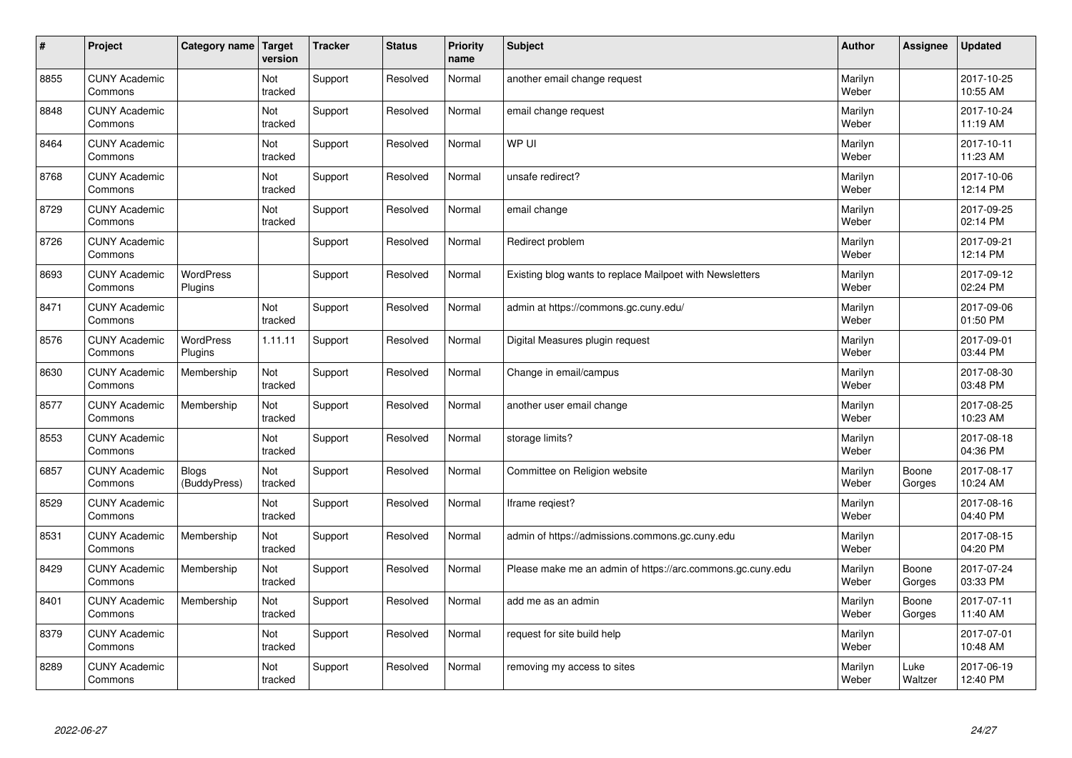| #    | Project                         | Category name                | Target<br>version | <b>Tracker</b> | <b>Status</b> | <b>Priority</b><br>name | <b>Subject</b>                                             | <b>Author</b>    | Assignee        | <b>Updated</b>         |
|------|---------------------------------|------------------------------|-------------------|----------------|---------------|-------------------------|------------------------------------------------------------|------------------|-----------------|------------------------|
| 8855 | <b>CUNY Academic</b><br>Commons |                              | Not<br>tracked    | Support        | Resolved      | Normal                  | another email change request                               | Marilyn<br>Weber |                 | 2017-10-25<br>10:55 AM |
| 8848 | <b>CUNY Academic</b><br>Commons |                              | Not<br>tracked    | Support        | Resolved      | Normal                  | email change request                                       | Marilyn<br>Weber |                 | 2017-10-24<br>11:19 AM |
| 8464 | <b>CUNY Academic</b><br>Commons |                              | Not<br>tracked    | Support        | Resolved      | Normal                  | WP UI                                                      | Marilyn<br>Weber |                 | 2017-10-11<br>11:23 AM |
| 8768 | <b>CUNY Academic</b><br>Commons |                              | Not<br>tracked    | Support        | Resolved      | Normal                  | unsafe redirect?                                           | Marilyn<br>Weber |                 | 2017-10-06<br>12:14 PM |
| 8729 | <b>CUNY Academic</b><br>Commons |                              | Not<br>tracked    | Support        | Resolved      | Normal                  | email change                                               | Marilyn<br>Weber |                 | 2017-09-25<br>02:14 PM |
| 8726 | <b>CUNY Academic</b><br>Commons |                              |                   | Support        | Resolved      | Normal                  | Redirect problem                                           | Marilyn<br>Weber |                 | 2017-09-21<br>12:14 PM |
| 8693 | <b>CUNY Academic</b><br>Commons | WordPress<br>Plugins         |                   | Support        | Resolved      | Normal                  | Existing blog wants to replace Mailpoet with Newsletters   | Marilyn<br>Weber |                 | 2017-09-12<br>02:24 PM |
| 8471 | <b>CUNY Academic</b><br>Commons |                              | Not<br>tracked    | Support        | Resolved      | Normal                  | admin at https://commons.gc.cuny.edu/                      | Marilyn<br>Weber |                 | 2017-09-06<br>01:50 PM |
| 8576 | <b>CUNY Academic</b><br>Commons | WordPress<br>Plugins         | 1.11.11           | Support        | Resolved      | Normal                  | Digital Measures plugin request                            | Marilyn<br>Weber |                 | 2017-09-01<br>03:44 PM |
| 8630 | <b>CUNY Academic</b><br>Commons | Membership                   | Not<br>tracked    | Support        | Resolved      | Normal                  | Change in email/campus                                     | Marilyn<br>Weber |                 | 2017-08-30<br>03:48 PM |
| 8577 | <b>CUNY Academic</b><br>Commons | Membership                   | Not<br>tracked    | Support        | Resolved      | Normal                  | another user email change                                  | Marilyn<br>Weber |                 | 2017-08-25<br>10:23 AM |
| 8553 | <b>CUNY Academic</b><br>Commons |                              | Not<br>tracked    | Support        | Resolved      | Normal                  | storage limits?                                            | Marilyn<br>Weber |                 | 2017-08-18<br>04:36 PM |
| 6857 | <b>CUNY Academic</b><br>Commons | <b>Blogs</b><br>(BuddyPress) | Not<br>tracked    | Support        | Resolved      | Normal                  | Committee on Religion website                              | Marilyn<br>Weber | Boone<br>Gorges | 2017-08-17<br>10:24 AM |
| 8529 | <b>CUNY Academic</b><br>Commons |                              | Not<br>tracked    | Support        | Resolved      | Normal                  | lframe regiest?                                            | Marilyn<br>Weber |                 | 2017-08-16<br>04:40 PM |
| 8531 | <b>CUNY Academic</b><br>Commons | Membership                   | Not<br>tracked    | Support        | Resolved      | Normal                  | admin of https://admissions.commons.gc.cuny.edu            | Marilyn<br>Weber |                 | 2017-08-15<br>04:20 PM |
| 8429 | <b>CUNY Academic</b><br>Commons | Membership                   | Not<br>tracked    | Support        | Resolved      | Normal                  | Please make me an admin of https://arc.commons.gc.cuny.edu | Marilyn<br>Weber | Boone<br>Gorges | 2017-07-24<br>03:33 PM |
| 8401 | <b>CUNY Academic</b><br>Commons | Membership                   | Not<br>tracked    | Support        | Resolved      | Normal                  | add me as an admin                                         | Marilyn<br>Weber | Boone<br>Gorges | 2017-07-11<br>11:40 AM |
| 8379 | <b>CUNY Academic</b><br>Commons |                              | Not<br>tracked    | Support        | Resolved      | Normal                  | request for site build help                                | Marilyn<br>Weber |                 | 2017-07-01<br>10:48 AM |
| 8289 | <b>CUNY Academic</b><br>Commons |                              | Not<br>tracked    | Support        | Resolved      | Normal                  | removing my access to sites                                | Marilyn<br>Weber | Luke<br>Waltzer | 2017-06-19<br>12:40 PM |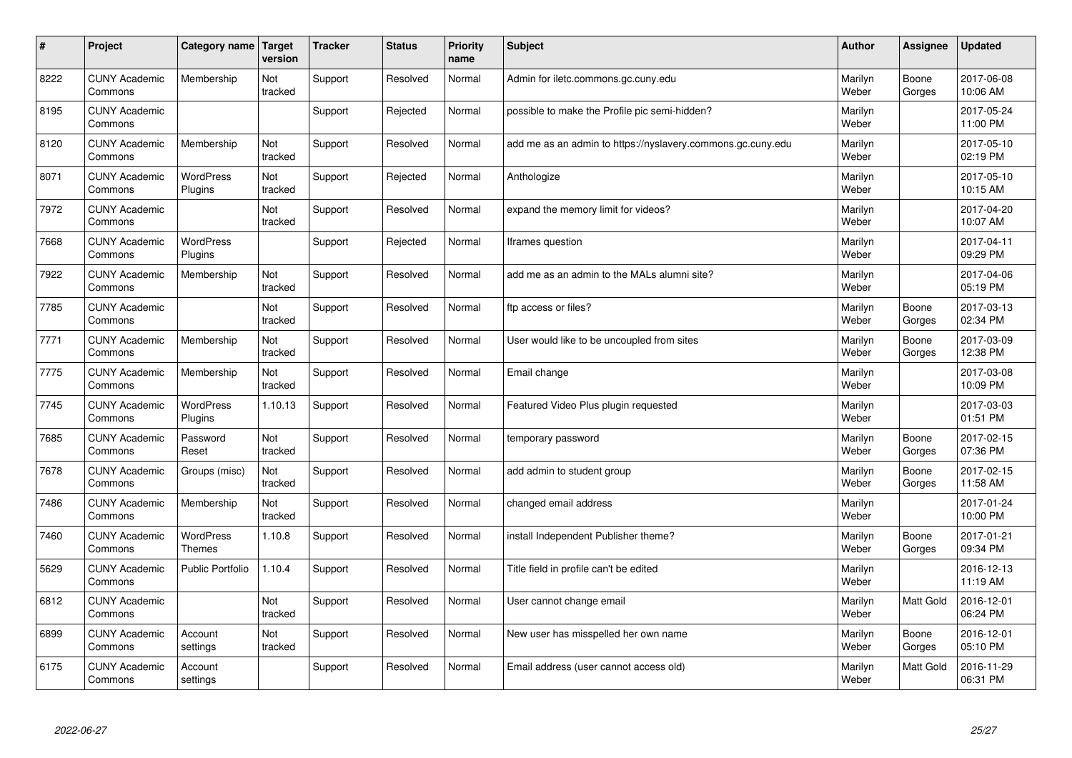| #    | Project                         | Category name                     | Target<br>version | <b>Tracker</b> | <b>Status</b> | <b>Priority</b><br>name | <b>Subject</b>                                              | <b>Author</b>    | Assignee         | Updated                |
|------|---------------------------------|-----------------------------------|-------------------|----------------|---------------|-------------------------|-------------------------------------------------------------|------------------|------------------|------------------------|
| 8222 | <b>CUNY Academic</b><br>Commons | Membership                        | Not<br>tracked    | Support        | Resolved      | Normal                  | Admin for iletc.commons.gc.cuny.edu                         | Marilyn<br>Weber | Boone<br>Gorges  | 2017-06-08<br>10:06 AM |
| 8195 | <b>CUNY Academic</b><br>Commons |                                   |                   | Support        | Rejected      | Normal                  | possible to make the Profile pic semi-hidden?               | Marilyn<br>Weber |                  | 2017-05-24<br>11:00 PM |
| 8120 | <b>CUNY Academic</b><br>Commons | Membership                        | Not<br>tracked    | Support        | Resolved      | Normal                  | add me as an admin to https://nyslavery.commons.gc.cuny.edu | Marilyn<br>Weber |                  | 2017-05-10<br>02:19 PM |
| 8071 | <b>CUNY Academic</b><br>Commons | <b>WordPress</b><br>Plugins       | Not<br>tracked    | Support        | Rejected      | Normal                  | Anthologize                                                 | Marilyn<br>Weber |                  | 2017-05-10<br>10:15 AM |
| 7972 | <b>CUNY Academic</b><br>Commons |                                   | Not<br>tracked    | Support        | Resolved      | Normal                  | expand the memory limit for videos?                         | Marilyn<br>Weber |                  | 2017-04-20<br>10:07 AM |
| 7668 | <b>CUNY Academic</b><br>Commons | <b>WordPress</b><br>Plugins       |                   | Support        | Rejected      | Normal                  | Iframes question                                            | Marilyn<br>Weber |                  | 2017-04-11<br>09:29 PM |
| 7922 | <b>CUNY Academic</b><br>Commons | Membership                        | Not<br>tracked    | Support        | Resolved      | Normal                  | add me as an admin to the MALs alumni site?                 | Marilyn<br>Weber |                  | 2017-04-06<br>05:19 PM |
| 7785 | <b>CUNY Academic</b><br>Commons |                                   | Not<br>tracked    | Support        | Resolved      | Normal                  | ftp access or files?                                        | Marilyn<br>Weber | Boone<br>Gorges  | 2017-03-13<br>02:34 PM |
| 7771 | <b>CUNY Academic</b><br>Commons | Membership                        | Not<br>tracked    | Support        | Resolved      | Normal                  | User would like to be uncoupled from sites                  | Marilyn<br>Weber | Boone<br>Gorges  | 2017-03-09<br>12:38 PM |
| 7775 | <b>CUNY Academic</b><br>Commons | Membership                        | Not<br>tracked    | Support        | Resolved      | Normal                  | Email change                                                | Marilyn<br>Weber |                  | 2017-03-08<br>10:09 PM |
| 7745 | <b>CUNY Academic</b><br>Commons | WordPress<br>Plugins              | 1.10.13           | Support        | Resolved      | Normal                  | Featured Video Plus plugin requested                        | Marilyn<br>Weber |                  | 2017-03-03<br>01:51 PM |
| 7685 | <b>CUNY Academic</b><br>Commons | Password<br>Reset                 | Not<br>tracked    | Support        | Resolved      | Normal                  | temporary password                                          | Marilyn<br>Weber | Boone<br>Gorges  | 2017-02-15<br>07:36 PM |
| 7678 | <b>CUNY Academic</b><br>Commons | Groups (misc)                     | Not<br>tracked    | Support        | Resolved      | Normal                  | add admin to student group                                  | Marilyn<br>Weber | Boone<br>Gorges  | 2017-02-15<br>11:58 AM |
| 7486 | <b>CUNY Academic</b><br>Commons | Membership                        | Not<br>tracked    | Support        | Resolved      | Normal                  | changed email address                                       | Marilyn<br>Weber |                  | 2017-01-24<br>10:00 PM |
| 7460 | <b>CUNY Academic</b><br>Commons | <b>WordPress</b><br><b>Themes</b> | 1.10.8            | Support        | Resolved      | Normal                  | install Independent Publisher theme?                        | Marilyn<br>Weber | Boone<br>Gorges  | 2017-01-21<br>09:34 PM |
| 5629 | <b>CUNY Academic</b><br>Commons | <b>Public Portfolio</b>           | 1.10.4            | Support        | Resolved      | Normal                  | Title field in profile can't be edited                      | Marilyn<br>Weber |                  | 2016-12-13<br>11:19 AM |
| 6812 | <b>CUNY Academic</b><br>Commons |                                   | Not<br>tracked    | Support        | Resolved      | Normal                  | User cannot change email                                    | Marilyn<br>Weber | <b>Matt Gold</b> | 2016-12-01<br>06:24 PM |
| 6899 | <b>CUNY Academic</b><br>Commons | Account<br>settings               | Not<br>tracked    | Support        | Resolved      | Normal                  | New user has misspelled her own name                        | Marilyn<br>Weber | Boone<br>Gorges  | 2016-12-01<br>05:10 PM |
| 6175 | <b>CUNY Academic</b><br>Commons | Account<br>settings               |                   | Support        | Resolved      | Normal                  | Email address (user cannot access old)                      | Marilyn<br>Weber | <b>Matt Gold</b> | 2016-11-29<br>06:31 PM |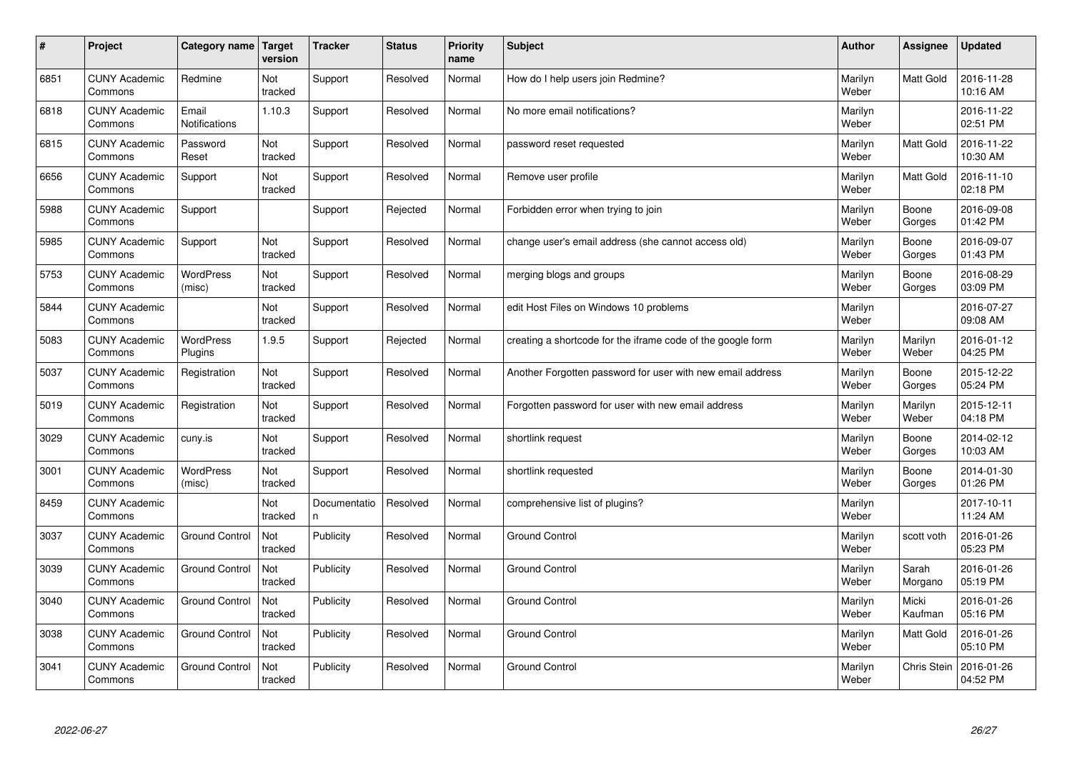| $\sharp$ | Project                         | Category name   Target        | version        | <b>Tracker</b>     | <b>Status</b> | <b>Priority</b><br>name | <b>Subject</b>                                              | <b>Author</b>    | Assignee         | <b>Updated</b>         |
|----------|---------------------------------|-------------------------------|----------------|--------------------|---------------|-------------------------|-------------------------------------------------------------|------------------|------------------|------------------------|
| 6851     | <b>CUNY Academic</b><br>Commons | Redmine                       | Not<br>tracked | Support            | Resolved      | Normal                  | How do I help users join Redmine?                           | Marilyn<br>Weber | <b>Matt Gold</b> | 2016-11-28<br>10:16 AM |
| 6818     | <b>CUNY Academic</b><br>Commons | Email<br><b>Notifications</b> | 1.10.3         | Support            | Resolved      | Normal                  | No more email notifications?                                | Marilyn<br>Weber |                  | 2016-11-22<br>02:51 PM |
| 6815     | <b>CUNY Academic</b><br>Commons | Password<br>Reset             | Not<br>tracked | Support            | Resolved      | Normal                  | password reset requested                                    | Marilyn<br>Weber | <b>Matt Gold</b> | 2016-11-22<br>10:30 AM |
| 6656     | <b>CUNY Academic</b><br>Commons | Support                       | Not<br>tracked | Support            | Resolved      | Normal                  | Remove user profile                                         | Marilyn<br>Weber | Matt Gold        | 2016-11-10<br>02:18 PM |
| 5988     | <b>CUNY Academic</b><br>Commons | Support                       |                | Support            | Rejected      | Normal                  | Forbidden error when trying to join                         | Marilyn<br>Weber | Boone<br>Gorges  | 2016-09-08<br>01:42 PM |
| 5985     | <b>CUNY Academic</b><br>Commons | Support                       | Not<br>tracked | Support            | Resolved      | Normal                  | change user's email address (she cannot access old)         | Marilyn<br>Weber | Boone<br>Gorges  | 2016-09-07<br>01:43 PM |
| 5753     | <b>CUNY Academic</b><br>Commons | WordPress<br>(misc)           | Not<br>tracked | Support            | Resolved      | Normal                  | merging blogs and groups                                    | Marilyn<br>Weber | Boone<br>Gorges  | 2016-08-29<br>03:09 PM |
| 5844     | <b>CUNY Academic</b><br>Commons |                               | Not<br>tracked | Support            | Resolved      | Normal                  | edit Host Files on Windows 10 problems                      | Marilyn<br>Weber |                  | 2016-07-27<br>09:08 AM |
| 5083     | <b>CUNY Academic</b><br>Commons | <b>WordPress</b><br>Plugins   | 1.9.5          | Support            | Rejected      | Normal                  | creating a shortcode for the iframe code of the google form | Marilyn<br>Weber | Marilyn<br>Weber | 2016-01-12<br>04:25 PM |
| 5037     | <b>CUNY Academic</b><br>Commons | Registration                  | Not<br>tracked | Support            | Resolved      | Normal                  | Another Forgotten password for user with new email address  | Marilyn<br>Weber | Boone<br>Gorges  | 2015-12-22<br>05:24 PM |
| 5019     | <b>CUNY Academic</b><br>Commons | Registration                  | Not<br>tracked | Support            | Resolved      | Normal                  | Forgotten password for user with new email address          | Marilyn<br>Weber | Marilyn<br>Weber | 2015-12-11<br>04:18 PM |
| 3029     | <b>CUNY Academic</b><br>Commons | cuny.is                       | Not<br>tracked | Support            | Resolved      | Normal                  | shortlink request                                           | Marilyn<br>Weber | Boone<br>Gorges  | 2014-02-12<br>10:03 AM |
| 3001     | <b>CUNY Academic</b><br>Commons | <b>WordPress</b><br>(misc)    | Not<br>tracked | Support            | Resolved      | Normal                  | shortlink requested                                         | Marilyn<br>Weber | Boone<br>Gorges  | 2014-01-30<br>01:26 PM |
| 8459     | <b>CUNY Academic</b><br>Commons |                               | Not<br>tracked | Documentatio<br>n. | Resolved      | Normal                  | comprehensive list of plugins?                              | Marilyn<br>Weber |                  | 2017-10-11<br>11:24 AM |
| 3037     | <b>CUNY Academic</b><br>Commons | <b>Ground Control</b>         | Not<br>tracked | Publicity          | Resolved      | Normal                  | <b>Ground Control</b>                                       | Marilyn<br>Weber | scott voth       | 2016-01-26<br>05:23 PM |
| 3039     | <b>CUNY Academic</b><br>Commons | <b>Ground Control</b>         | Not<br>tracked | Publicity          | Resolved      | Normal                  | <b>Ground Control</b>                                       | Marilyn<br>Weber | Sarah<br>Morgano | 2016-01-26<br>05:19 PM |
| 3040     | <b>CUNY Academic</b><br>Commons | <b>Ground Control</b>         | Not<br>tracked | Publicity          | Resolved      | Normal                  | <b>Ground Control</b>                                       | Marilyn<br>Weber | Micki<br>Kaufman | 2016-01-26<br>05:16 PM |
| 3038     | <b>CUNY Academic</b><br>Commons | <b>Ground Control</b>         | Not<br>tracked | Publicity          | Resolved      | Normal                  | <b>Ground Control</b>                                       | Marilyn<br>Weber | Matt Gold        | 2016-01-26<br>05:10 PM |
| 3041     | <b>CUNY Academic</b><br>Commons | <b>Ground Control</b>         | Not<br>tracked | Publicity          | Resolved      | Normal                  | <b>Ground Control</b>                                       | Marilyn<br>Weber | Chris Stein      | 2016-01-26<br>04:52 PM |